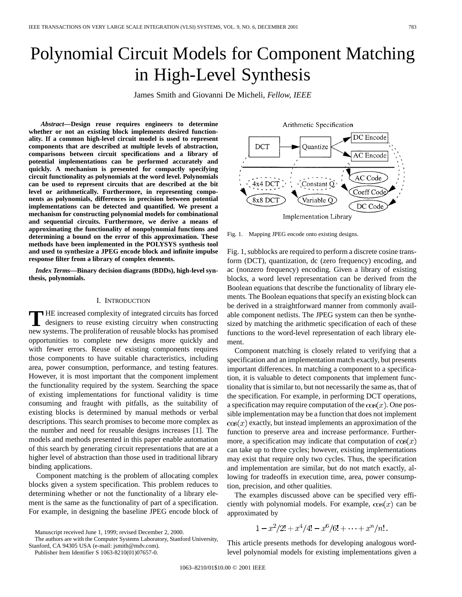# Polynomial Circuit Models for Component Matching in High-Level Synthesis

James Smith and Giovanni De Micheli*, Fellow, IEEE*

*Abstract—***Design reuse requires engineers to determine whether or not an existing block implements desired functionality. If a common high-level circuit model is used to represent components that are described at multiple levels of abstraction, comparisons between circuit specifications and a library of potential implementations can be performed accurately and quickly. A mechanism is presented for compactly specifying circuit functionality as polynomials at the word level. Polynomials can be used to represent circuits that are described at the bit level or arithmetically. Furthermore, in representing components as polynomials, differences in precision between potential implementations can be detected and quantified. We present a mechanism for constructing polynomial models for combinational and sequential circuits. Furthermore, we derive a means of approximating the functionality of nonpolynomial functions and determining a bound on the error of this approximation. These methods have been implemented in the POLYSYS synthesis tool and used to synthesize a JPEG encode block and infinite impulse response filter from a library of complex elements.**

*Index Terms—***Binary decision diagrams (BDDs), high-level synthesis, polynomials.**

## I. INTRODUCTION

THE increased complexity of integrated circuits has forced designers to reuse existing circuitry when constructing new systems. The proliferation of reusable blocks has promised opportunities to complete new designs more quickly and with fewer errors. Reuse of existing components requires those components to have suitable characteristics, including area, power consumption, performance, and testing features. However, it is most important that the component implement the functionality required by the system. Searching the space of existing implementations for functional validity is time consuming and fraught with pitfalls, as the suitability of existing blocks is determined by manual methods or verbal descriptions. This search promises to become more complex as the number and need for reusable designs increases [1]. The models and methods presented in this paper enable automation of this search by generating circuit representations that are at a higher level of abstraction than those used in traditional library binding applications.

Component matching is the problem of allocating complex blocks given a system specification. This problem reduces to determining whether or not the functionality of a library element is the same as the functionality of part of a specification. For example, in designing the baseline JPEG encode block of

Arithmetic Specification



Fig. 1. Mapping JPEG encode onto existing designs.

Fig. 1, subblocks are required to perform a discrete cosine transform (DCT), quantization, dc (zero frequency) encoding, and ac (nonzero frequency) encoding. Given a library of existing blocks, a word level representation can be derived from the Boolean equations that describe the functionality of library elements. The Boolean equations that specify an existing block can be derived in a straightforward manner from commonly available component netlists. The JPEG system can then be synthesized by matching the arithmetic specification of each of these functions to the word-level representation of each library element.

Component matching is closely related to verifying that a specification and an implementation match exactly, but presents important differences. In matching a component to a specification, it is valuable to detect components that implement functionality that is similar to, but not necessarily the same as, that of the specification. For example, in performing DCT operations, a specification may require computation of the  $\cos(x)$ . One possible implementation may be a function that does not implement  $cos(x)$  exactly, but instead implements an approximation of the function to preserve area and increase performance. Furthermore, a specification may indicate that computation of  $cos(x)$ can take up to three cycles; however, existing implementations may exist that require only two cycles. Thus, the specification and implementation are similar, but do not match exactly, allowing for tradeoffs in execution time, area, power consumption, precision, and other qualities.

The examples discussed above can be specified very efficiently with polynomial models. For example,  $cos(x)$  can be approximated by

$$
1 - x^2/2! + x^4/4! - x^6/6! + \dots + x^n/n!.
$$

This article presents methods for developing analogous wordlevel polynomial models for existing implementations given a

Manuscript received June 1, 1999; revised December 2, 2000.

The authors are with the Computer Systems Laboratory, Stanford University, Stanford, CA 94305 USA (e-mail: jsmith@mdv.com).

Publisher Item Identifier S 1063-8210(01)07657-0.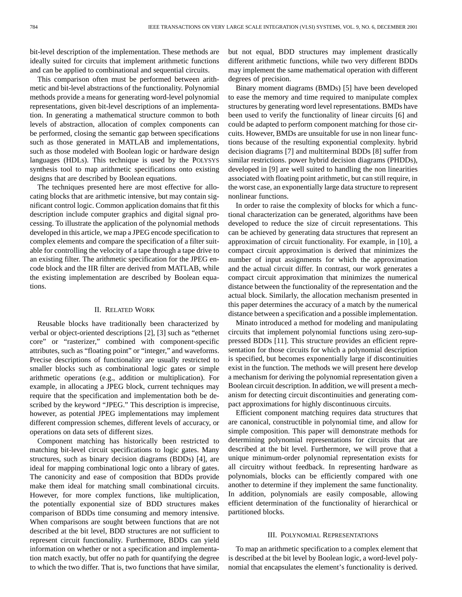bit-level description of the implementation. These methods are ideally suited for circuits that implement arithmetic functions and can be applied to combinational and sequential circuits.

This comparison often must be performed between arithmetic and bit-level abstractions of the functionality. Polynomial methods provide a means for generating word-level polynomial representations, given bit-level descriptions of an implementation. In generating a mathematical structure common to both levels of abstraction, allocation of complex components can be performed, closing the semantic gap between specifications such as those generated in MATLAB and implementations, such as those modeled with Boolean logic or hardware design languages (HDLs). This technique is used by the POLYSYS synthesis tool to map arithmetic specifications onto existing designs that are described by Boolean equations.

The techniques presented here are most effective for allocating blocks that are arithmetic intensive, but may contain significant control logic. Common application domains that fit this description include computer graphics and digital signal processing. To illustrate the application of the polynomial methods developed in this article, we map a JPEG encode specification to complex elements and compare the specification of a filter suitable for controlling the velocity of a tape through a tape drive to an existing filter. The arithmetic specification for the JPEG encode block and the IIR filter are derived from MATLAB, while the existing implementation are described by Boolean equations.

# II. RELATED WORK

Reusable blocks have traditionally been characterized by verbal or object-oriented descriptions [2], [3] such as "ethernet core" or "rasterizer," combined with component-specific attributes, such as "floating point" or "integer," and waveforms. Precise descriptions of functionality are usually restricted to smaller blocks such as combinational logic gates or simple arithmetic operations (e.g., addition or multiplication). For example, in allocating a JPEG block, current techniques may require that the specification and implementation both be described by the keyword "JPEG." This description is imprecise, however, as potential JPEG implementations may implement different compression schemes, different levels of accuracy, or operations on data sets of different sizes.

Component matching has historically been restricted to matching bit-level circuit specifications to logic gates. Many structures, such as binary decision diagrams (BDDs) [4], are ideal for mapping combinational logic onto a library of gates. The canonicity and ease of composition that BDDs provide make them ideal for matching small combinational circuits. However, for more complex functions, like multiplication, the potentially exponential size of BDD structures makes comparison of BDDs time consuming and memory intensive. When comparisons are sought between functions that are not described at the bit level, BDD structures are not sufficient to represent circuit functionality. Furthermore, BDDs can yield information on whether or not a specification and implementation match exactly, but offer no path for quantifying the degree to which the two differ. That is, two functions that have similar, but not equal, BDD structures may implement drastically different arithmetic functions, while two very different BDDs may implement the same mathematical operation with different degrees of precision.

Binary moment diagrams (BMDs) [5] have been developed to ease the memory and time required to manipulate complex structures by generating word level representations. BMDs have been used to verify the functionality of linear circuits [6] and could be adapted to perform component matching for those circuits. However, BMDs are unsuitable for use in non linear functions because of the resulting exponential complexity. hybrid decision diagrams [7] and multiterminal BDDs [8] suffer from similar restrictions. power hybrid decision diagrams (PHDDs), developed in [9] are well suited to handling the non linearities associated with floating point arithmetic, but can still require, in the worst case, an exponentially large data structure to represent nonlinear functions.

In order to raise the complexity of blocks for which a functional characterization can be generated, algorithms have been developed to reduce the size of circuit representations. This can be achieved by generating data structures that represent an approximation of circuit functionality. For example, in [10], a compact circuit approximation is derived that minimizes the number of input assignments for which the approximation and the actual circuit differ. In contrast, our work generates a compact circuit approximation that minimizes the numerical distance between the functionality of the representation and the actual block. Similarly, the allocation mechanism presented in this paper determines the accuracy of a match by the numerical distance between a specification and a possible implementation.

Minato introduced a method for modeling and manipulating circuits that implement polynomial functions using zero-suppressed BDDs [11]. This structure provides an efficient representation for those circuits for which a polynomial description is specified, but becomes exponentially large if discontinuities exist in the function. The methods we will present here develop a mechanism for deriving the polynomial representation given a Boolean circuit description. In addition, we will present a mechanism for detecting circuit discontinuities and generating compact approximations for highly discontinuous circuits.

Efficient component matching requires data structures that are canonical, constructible in polynomial time, and allow for simple composition. This paper will demonstrate methods for determining polynomial representations for circuits that are described at the bit level. Furthermore, we will prove that a unique minimum-order polynomial representation exists for all circuitry without feedback. In representing hardware as polynomials, blocks can be efficiently compared with one another to determine if they implement the same functionality. In addition, polynomials are easily composable, allowing efficient determination of the functionality of hierarchical or partitioned blocks.

# III. POLYNOMIAL REPRESENTATIONS

To map an arithmetic specification to a complex element that is described at the bit level by Boolean logic, a word-level polynomial that encapsulates the element's functionality is derived.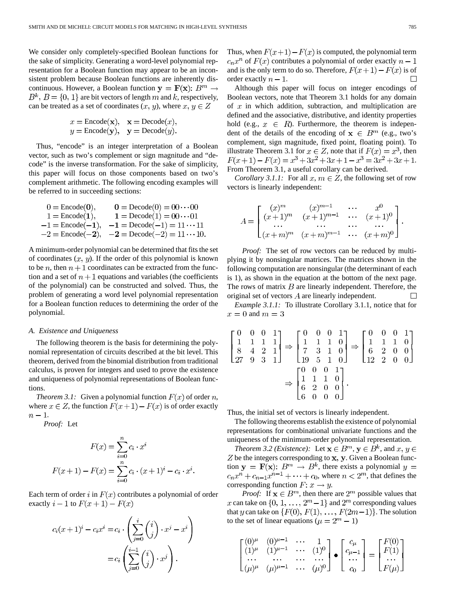We consider only completely-specified Boolean functions for the sake of simplicity. Generating a word-level polynomial representation for a Boolean function may appear to be an inconsistent problem because Boolean functions are inherently discontinuous. However, a Boolean function  $y = F(x)$ :  $B^m \rightarrow$  $B^k$ ,  $B = \{0, 1\}$  are bit vectors of length m and k, respectively, can be treated as a set of coordinates  $(x, y)$ , where  $x, y \in Z$ 

$$
x = \text{Encode}(\mathbf{x}), \quad \mathbf{x} = \text{Decode}(x),
$$
  
 $y = \text{Encode}(\mathbf{y}), \quad \mathbf{y} = \text{Decode}(y).$ 

Thus, "encode" is an integer interpretation of a Boolean vector, such as two's complement or sign magnitude and "decode" is the inverse transformation. For the sake of simplicity, this paper will focus on those components based on two's complement arithmetic. The following encoding examples will be referred to in succeeding sections:

$$
0 = \text{Encode}(0), \qquad 0 = \text{Decode}(0) = 00 \cdots 00
$$
  
\n
$$
1 = \text{Encode}(1), \qquad 1 = \text{Decode}(1) = 00 \cdots 01
$$
  
\n
$$
-1 = \text{Encode}(-1), \quad -1 = \text{Decode}(-1) = 11 \cdots 11
$$
  
\n
$$
-2 = \text{Encode}(-2), \quad -2 = \text{Decode}(-2) = 11 \cdots 10
$$

A minimum-order polynomial can be determined that fits the set of coordinates  $(x, y)$ . If the order of this polynomial is known to be *n*, then  $n + 1$  coordinates can be extracted from the function and a set of  $n+1$  equations and variables (the coefficients of the polynomial) can be constructed and solved. Thus, the problem of generating a word level polynomial representation for a Boolean function reduces to determining the order of the polynomial.

## *A. Existence and Uniqueness*

The following theorem is the basis for determining the polynomial representation of circuits described at the bit level. This theorem, derived from the binomial distribution from traditional calculus, is proven for integers and used to prove the existence and uniqueness of polynomial representations of Boolean functions.

*Theorem 3.1:* Given a polynomial function  $F(x)$  of order n, where  $x \in Z$ , the function  $F(x+1) - F(x)$  is of order exactly  $n-1$ .

*Proof:* Let

$$
F(x) = \sum_{i=0}^{n} c_i \cdot x^i
$$
  

$$
F(x+1) - F(x) = \sum_{i=0}^{n} c_i \cdot (x+1)^i - c_i \cdot x^i.
$$

Each term of order i in  $F(x)$  contributes a polynomial of order exactly  $i-1$  to  $F(x+1) - F(x)$ 

$$
c_i(x+1)^i - c_i x^i = c_i \cdot \left(\sum_{j=0}^i \binom{i}{j} \cdot x^j - x^i\right)
$$

$$
= c_i \left(\sum_{j=0}^{i-1} \binom{i}{j} \cdot x^j\right).
$$

Thus, when  $F(x+1) - F(x)$  is computed, the polynomial term  $c_n x^n$  of  $F(x)$  contributes a polynomial of order exactly  $n-1$ and is the only term to do so. Therefore,  $F(x+1) - F(x)$  is of order exactly  $n-1$ .  $\Box$ 

Although this paper will focus on integer encodings of Boolean vectors, note that Theorem 3.1 holds for any domain of  $x$  in which addition, subtraction, and multiplication are defined and the associative, distributive, and identity properties hold (e.g.,  $x \in R$ ). Furthermore, the theorem is independent of the details of the encoding of  $x \in B^m$  (e.g., two's complement, sign magnitude, fixed point, floating point). To illustrate Theorem 3.1 for  $x \in Z$ , note that if  $F(x) = x^3$ , then  $F(x+1) - F(x) = x^3 + 3x^2 + 3x + 1 - x^3 = 3x^2 + 3x + 1.$ From Theorem 3.1, a useful corollary can be derived.

*Corollary 3.1.1:* For all  $x, m \in \mathbb{Z}$ , the following set of row vectors is linearly independent:

$$
A = \begin{bmatrix} (x)^m & (x)^{m-1} & \cdots & x^0 \\ (x+1)^m & (x+1)^{m-1} & \cdots & (x+1)^0 \\ \cdots & \cdots & \cdots & \cdots \\ (x+m)^m & (x+m)^{m-1} & \cdots & (x+m)^0 \end{bmatrix}
$$

Ł

*Proof:* The set of row vectors can be reduced by multiplying it by nonsingular matrices. The matrices shown in the following computation are nonsingular (the determinant of each is 1), as shown in the equation at the bottom of the next page. The rows of matrix  $B$  are linearly independent. Therefore, the original set of vectors  $A$  are linearly independent.  $\perp$ 

*Example 3.1.1:* To illustrate Corollary 3.1.1, notice that for  $x = 0$  and  $m = 3$ 

$$
\begin{bmatrix} 0 & 0 & 0 & 1 \\ 1 & 1 & 1 & 1 \\ 8 & 4 & 2 & 1 \\ 27 & 9 & 3 & 1 \end{bmatrix} \Rightarrow \begin{bmatrix} 0 & 0 & 0 & 1 \\ 1 & 1 & 1 & 0 \\ 7 & 3 & 1 & 0 \\ 19 & 5 & 1 & 0 \end{bmatrix} \Rightarrow \begin{bmatrix} 0 & 0 & 0 & 1 \\ 1 & 1 & 1 & 0 \\ 6 & 2 & 0 & 0 \\ 12 & 2 & 0 & 0 \end{bmatrix}
$$

$$
\Rightarrow \begin{bmatrix} 0 & 0 & 0 & 1 \\ 1 & 1 & 1 & 0 \\ 6 & 2 & 0 & 0 \\ 6 & 0 & 0 & 0 \end{bmatrix}.
$$

Thus, the initial set of vectors is linearly independent.

The following theorems establish the existence of polynomial representations for combinational univariate functions and the uniqueness of the minimum-order polynomial representation.

*Theorem 3.2 (Existence):* Let  $\mathbf{x} \in B^m$ ,  $\mathbf{y} \in B^k$ , and  $x, y \in B$  $Z$  be the integers corresponding to  $x$ ,  $y$ . Given a Boolean function  $y = F(x)$ :  $B^m \rightarrow B^k$ , there exists a polynomial  $y =$  $c_n x^n + c_{n-1} x^{n-1} + \cdots + c_0$ , where  $n < 2^m$ , that defines the corresponding function  $F: x \to y$ .

*Proof:* If  $x \in B^m$ , then there are  $2^m$  possible values that can take on  $\{0, 1, \ldots, 2^m-1\}$  and  $2^m$  corresponding values that y can take on  $\{F(0), F(1), \ldots, F(2m-1)\}\$ . The solution to the set of linear equations ( $\mu = 2^m - 1$ )

$$
\begin{bmatrix}\n(0)^{\mu} & (0)^{\mu-1} & \cdots & 1 \\
(1)^{\mu} & (1)^{\mu-1} & \cdots & (1)^{0} \\
\cdots & \cdots & \cdots & \cdots \\
(\mu)^{\mu} & (\mu)^{\mu-1} & \cdots & (\mu)^{0}\n\end{bmatrix}\n\bullet\n\begin{bmatrix}\nc_{\mu} \\
c_{\mu-1} \\
\cdots \\
c_{0}\n\end{bmatrix}\n=\n\begin{bmatrix}\nF(0) \\
F(1) \\
\cdots \\
F(\mu)\n\end{bmatrix}
$$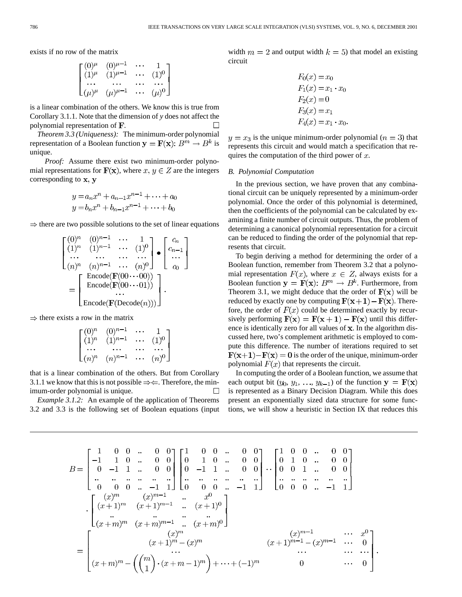exists if no row of the matrix

$$
\begin{bmatrix}\n(0)^{\mu} & (0)^{\mu-1} & \cdots & 1 \\
(1)^{\mu} & (1)^{\mu-1} & \cdots & (1)^{0} \\
\cdots & \cdots & \cdots & \cdots \\
(\mu)^{\mu} & (\mu)^{\mu-1} & \cdots & (\mu)^{0}\n\end{bmatrix}
$$

is a linear combination of the others. We know this is true from Corollary 3.1.1. Note that the dimension of *y* does not affect the polynomial representation of **.** 

*Theorem 3.3 (Uniqueness):* The minimum-order polynomial representation of a Boolean function  $y = F(x)$ :  $B^m \to B^k$  is unique.

*Proof:* Assume there exist two minimum-order polynomial representations for  $F(x)$ , where  $x, y \in Z$  are the integers corresponding to  $x, y$ 

$$
y = a_n x^n + a_{n-1} x^{n-1} + \dots + a_0
$$
  

$$
y = b_n x^n + b_{n-1} x^{n-1} + \dots + b_0
$$

 $\Rightarrow$  there are two possible solutions to the set of linear equations

$$
\begin{bmatrix}\n(0)^n & (0)^{n-1} & \cdots & 1 \\
(1)^n & (1)^{n-1} & \cdots & (1)^0 \\
\cdots & \cdots & \cdots & \cdots \\
(n)^n & (n)^{n-1} & \cdots & (n)^0\n\end{bmatrix}\n\bullet\n\begin{bmatrix}\nc_n \\
c_{n-1} \\
\cdots \\
c_0\n\end{bmatrix}
$$
\n
$$
=\n\begin{bmatrix}\n\text{Encode}(\mathbf{F}(00\cdots00)) \\
\text{Encode}(\mathbf{F}(00\cdots01)) \\
\cdots \\
\text{Encode}(\mathbf{F}(Decode(n)))\n\end{bmatrix}.
$$

 $\Rightarrow$  there exists a row in the matrix

| $\begin{bmatrix} (0)^n \\ (1)^n \end{bmatrix}$ | $(0)^{n-1}$ | . |           |
|------------------------------------------------|-------------|---|-----------|
|                                                | $(1)^{n-1}$ | . | $(1)^{0}$ |
|                                                |             |   |           |
| $\lfloor (n)^n \rfloor$                        | $(n)^{n-1}$ |   | $(n)^{0}$ |

that is a linear combination of the others. But from Corollary 3.1.1 we know that this is not possible  $\Rightarrow \Leftarrow$ . Therefore, the minimum-order polynomial is unique.  $\Box$ 

*Example 3.1.2:* An example of the application of Theorems 3.2 and 3.3 is the following set of Boolean equations (input width  $m = 2$  and output width  $k = 5$ ) that model an existing circuit

$$
F_0(x) = x_0
$$
  
\n
$$
F_1(x) = x_1 \cdot x_0
$$
  
\n
$$
F_2(x) = 0
$$
  
\n
$$
F_3(x) = x_1
$$
  
\n
$$
F_4(x) = x_1 \cdot x_0.
$$

 $y = x_3$  is the unique minimum-order polynomial ( $n = 3$ ) that represents this circuit and would match a specification that requires the computation of the third power of  $x$ .

## *B. Polynomial Computation*

In the previous section, we have proven that any combinational circuit can be uniquely represented by a minimum-order polynomial. Once the order of this polynomial is determined, then the coefficients of the polynomial can be calculated by examining a finite number of circuit outputs. Thus, the problem of determining a canonical polynomial representation for a circuit can be reduced to finding the order of the polynomial that represents that circuit.

To begin deriving a method for determining the order of a Boolean function, remember from Theorem 3.2 that a polynomial representation  $F(x)$ , where  $x \in Z$ , always exists for a Boolean function  $y = F(x)$ :  $B^m \rightarrow B^k$ . Furthermore, from Theorem 3.1, we might deduce that the order of  $F(x)$  will be reduced by exactly one by computing  $F(x+1) - F(x)$ . Therefore, the order of  $F(x)$  could be determined exactly by recursively performing  $F(x) = F(x + 1) - F(x)$  until this difference is identically zero for all values of  $x$ . In the algorithm discussed here, two's complement arithmetic is employed to compute this difference. The number of iterations required to set  $\mathbf{F}(\mathbf{x+1}) - \mathbf{F}(\mathbf{x}) = \mathbf{0}$  is the order of the unique, minimum-order polynomial  $F(x)$  that represents the circuit.

In computing the order of a Boolean function, we assume that each output bit  $(y_0, y_1, \ldots, y_{k-1})$  of the function  $y = F(x)$ is represented as a Binary Decision Diagram. While this does present an exponentially sized data structure for some functions, we will show a heuristic in Section IX that reduces this

$$
B = \begin{bmatrix} 1 & 0 & 0 & \cdots & 0 & 0 \\ -1 & 1 & 0 & \cdots & 0 & 0 \\ 0 & -1 & 1 & \cdots & 0 & 0 \\ \cdots & \cdots & \cdots & \cdots & \cdots & \cdots \\ 0 & 0 & 0 & \cdots & -1 & 1 \end{bmatrix} \begin{bmatrix} 1 & 0 & 0 & \cdots & 0 & 0 \\ 0 & 1 & 0 & \cdots & 0 & 0 \\ 0 & -1 & 1 & \cdots & 0 & 0 \\ \cdots & \cdots & \cdots & \cdots & \cdots & \cdots \\ \cdots & \cdots & \cdots & \cdots & \cdots & \cdots \\ 0 & 0 & 0 & \cdots & -1 & 1 \end{bmatrix} \cdot \begin{bmatrix} 1 & 0 & 0 & \cdots & 0 & 0 \\ 0 & 1 & 0 & \cdots & 0 & 0 \\ 0 & 0 & 1 & \cdots & 0 & 0 \\ \cdots & \cdots & \cdots & \cdots & \cdots & \cdots \\ 0 & 0 & 0 & \cdots & -1 & 1 \end{bmatrix}
$$

$$
= \begin{bmatrix} (x)^m & (x)^m \\ (x+1)^m & (x+n)^{m-1} & \cdots & (x+n)^0 \\ \vdots & \vdots & \ddots & \vdots & \vdots & \vdots \\ (x+n)^m & (x+1)^m - (x)^m & & (x+1)^{m-1} - (x)^{m-1} & \cdots & 0 \\ \cdots & \cdots & \cdots & \cdots & \cdots & \cdots \\ (x+m)^m - \left( \binom{m}{1} \cdot (x+m-1)^m \right) + \cdots + (-1)^m & 0 & \cdots & 0 \end{bmatrix}.
$$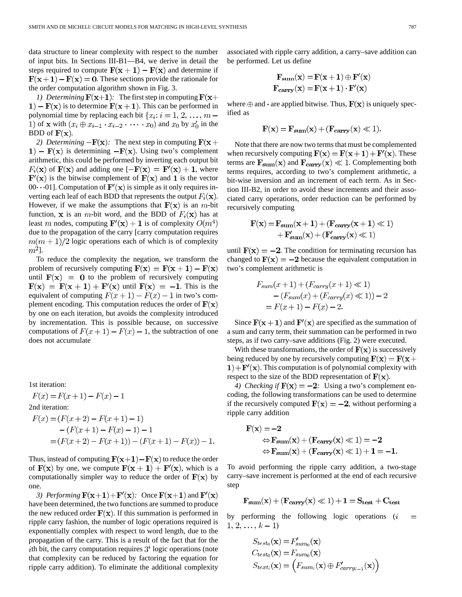data structure to linear complexity with respect to the number of input bits. In Sections III-B1—B4, we derive in detail the steps required to compute  $F(x + 1) - F(x)$  and determine if  $F(x+1) - F(x) = 0$ . These sections provide the rationale for the order computation algorithm shown in Fig. 3.

*1) Determining*  $\mathbf{F}(\mathbf{x+1})$ . The first step in computing  $\mathbf{F}(\mathbf{x+1})$  $\mathbf{F}(\mathbf{x}) = \mathbf{F}(\mathbf{x})$  is to determine  $\mathbf{F}(\mathbf{x} + \mathbf{1})$ . This can be performed in polynomial time by replacing each bit  $\{x_i : i = 1, 2, \ldots, m - \}$ 1) of **x** with  $(x_i \oplus x_{i-1} \cdot x_{i-2} \cdot \cdots \cdot x_0)$  and  $x_0$  by  $x'_0$  in the BDD of  $F(x)$ .

*2) Determining*  $-F(x)$ : The next step in computing  $F(x+)$ 1) –  $F(x)$  is determining – $F(x)$ . Using two's complement arithmetic, this could be performed by inverting each output bit  $F_i(\mathbf{x})$  of  $\mathbf{F}(\mathbf{x})$  and adding one  $[-\mathbf{F}(\mathbf{x}) = \mathbf{F}'(\mathbf{x}) + 1]$ , where  $\mathbf{F}'(\mathbf{x})$  is the bitwise complement of  $\mathbf{F}(\mathbf{x})$  and 1 is the vector  $00 \cdot \cdot 01$ . Computation of  $\mathbf{F}'(\mathbf{x})$  is simple as it only requires inverting each leaf of each BDD that represents the output  $F_i(\mathbf{x})$ . However, if we make the assumptions that  $F(x)$  is an m-bit function, x is an m-bit word, and the BDD of  $F_i(\mathbf{x})$  has at least m nodes, computing  $\mathbf{F}'(\mathbf{x}) + \mathbf{1}$  is of complexity  $O(m^4)$ due to the propagation of the carry [carry computation requires  $m(m+1)/2$  logic operations each of which is of complexity  $m^2$ ].

To reduce the complexity the negation, we transform the problem of recursively computing  $F(x) = F(x + 1) - F(x)$ until  $F(x) = 0$  to the problem of recursively computing  $F(x) = F(x + 1) + F'(x)$  until  $F(x) = -1$ . This is the equivalent of computing  $F(x + 1) - F(x) - 1$  in two's complement encoding. This computation reduces the order of  $F(x)$ by one on each iteration, but avoids the complexity introduced by incrementation. This is possible because, on successive computations of  $F(x+1) - F(x) - 1$ , the subtraction of one does not accumulate

1st iteration:

$$
F(x) = F(x+1) - F(x) - 1
$$
  
2nd iteration:  

$$
F(x) = (F(x+2) - F(x+1) - 1)
$$

$$
- (F(x+1) - F(x) - 1) - 1
$$

$$
= (F(x+2) - F(x+1)) - (F(x+1) - F(x)) - 1.
$$

Thus, instead of computing  $\mathbf{F}(\mathbf{x+1}) - \mathbf{F}(\mathbf{x})$  to reduce the order of  $F(x)$  by one, we compute  $F(x + 1) + F'(x)$ , which is a computationally simpler way to reduce the order of  $F(x)$  by one.

*3) Performing*  $\mathbf{F}(\mathbf{x+1}) + \mathbf{F}'(\mathbf{x})$ : Once  $\mathbf{F}(\mathbf{x+1})$  and  $\mathbf{F}'(\mathbf{x})$ have been determined, the two functions are summed to produce the new reduced order  $F(x)$ . If this summation is performed in ripple carry fashion, the number of logic operations required is exponentially complex with respect to word length, due to the propagation of the carry. This is a result of the fact that for the *i*th bit, the carry computation requires  $3<sup>i</sup>$  logic operations (note that complexity can be reduced by factoring the equation for ripple carry addition). To eliminate the additional complexity associated with ripple carry addition, a carry–save addition can be performed. Let us define

$$
\mathbf{F}_{\text{sum}}(\mathbf{x}) = \mathbf{F}(\mathbf{x} + \mathbf{1}) \oplus \mathbf{F}'(\mathbf{x})
$$

$$
\mathbf{F}_{\text{carry}}(\mathbf{x}) = \mathbf{F}(\mathbf{x} + \mathbf{1}) \cdot \mathbf{F}'(\mathbf{x})
$$

where  $\oplus$  and  $\cdot$  are applied bitwise. Thus,  $\mathbf{F}(\mathbf{x})$  is uniquely specified as

$$
\mathbf{F}(\mathbf{x}) = \mathbf{F}_{\text{sum}}(\mathbf{x}) + (\mathbf{F}_{\text{carry}}(\mathbf{x}) \ll 1).
$$

Note that there are now two terms that must be complemented when recursively computing  $F(x) = F(x+1) + F'(x)$ . These terms are  $\mathbf{F}_{\text{sum}}(\mathbf{x})$  and  $\mathbf{F}_{\text{carry}}(\mathbf{x}) \ll 1$ . Complementing both terms requires, according to two's complement arithmetic, a bit-wise inversion and an increment of each term. As in Section III-B2, in order to avoid these increments and their associated carry operations, order reduction can be performed by recursively computing

$$
\mathbf{F}(\mathbf{x}) = \mathbf{F}_{\text{sum}}(\mathbf{x} + \mathbf{1}) + (\mathbf{F}_{\text{carry}}(\mathbf{x} + \mathbf{1}) \ll 1) + \mathbf{F}'_{\text{sum}}(\mathbf{x}) + (\mathbf{F}'_{\text{carry}}(\mathbf{x}) \ll 1)
$$

until  $F(x) = -2$ . The condition for terminating recursion has changed to  $F(x) = -2$  because the equivalent computation in two's complement arithmetic is

$$
F_{sum}(x+1) + (F_{carry}(x+1) \ll 1)
$$
  
-  $(F_{sum}(x) + (F_{carry}(x) \ll 1)) - 2$   
=  $F(x+1) - F(x) - 2$ .

Since  $\mathbf{F}(\mathbf{x} + \mathbf{1})$  and  $\mathbf{F}'(\mathbf{x})$  are specified as the summation of a sum and carry term, their summation can be performed in two steps, as if two carry–save additions (Fig. 2) were executed.

With these transformations, the order of  $F(x)$  is successively being reduced by one by recursively computing  $\mathbf{F}(\mathbf{x}) = \mathbf{F}(\mathbf{x} + \mathbf{F})$  $1 + F'(x)$ . This computation is of polynomial complexity with respect to the size of the BDD representation of  $F(x)$ .

*4) Checking if*  $\mathbf{F}(\mathbf{x}) = -2$ . Using a two's complement encoding, the following transformations can be used to determine if the recursively computed  $F(x) = -2$ , without performing a ripple carry addition

$$
\begin{aligned} \mathbf{F}(x)=&-2\\ &\Leftrightarrow \mathbf{F}_{sum}(x)+(\mathbf{F}_{carry}(x)\ll 1)=-2\\ &\Leftrightarrow \mathbf{F}_{sum}(x)+(\mathbf{F}_{carry}(x)\ll 1)+1=-1. \end{aligned}
$$

To avoid performing the ripple carry addition, a two-stage carry–save increment is performed at the end of each recursive step

$$
\mathbf{F}_{\mathbf{sum}}(\mathbf{x}) + (\mathbf{F}_{\mathbf{carry}}(\mathbf{x}) \ll 1) + \mathbf{1} = \mathbf{S}_{\mathbf{test}} + \mathbf{C}_{\mathbf{test}}
$$

by performing the following logic operations  $(i)$  $\equiv$  $1, 2, \ldots, k-1$ 

$$
S_{test_0}(\mathbf{x}) = F'_{sum_0}(\mathbf{x})
$$
  
\n
$$
C_{test_0}(\mathbf{x}) = F_{sum_0}(\mathbf{x})
$$
  
\n
$$
S_{text_i}(\mathbf{x}) = \left(F_{sum_i}(\mathbf{x}) \oplus F'_{carry_{i-1}}(\mathbf{x})\right)
$$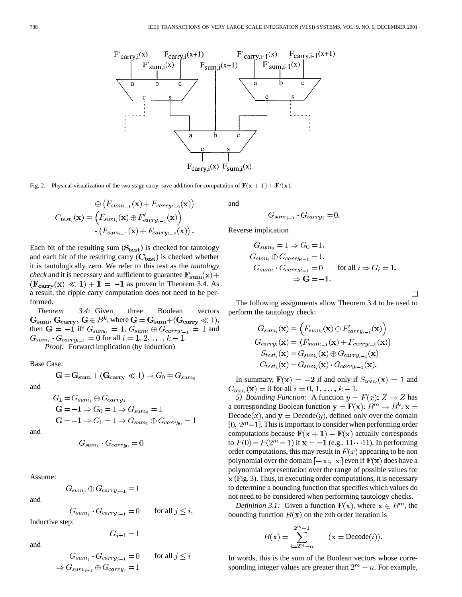

Fig. 2. Physical visualization of the two stage carry–save addition for computation of  $\mathbf{F}(\mathbf{x} + 1) + \mathbf{F}'(\mathbf{x})$ .

$$
\oplus (F_{sum_{i-1}}(\mathbf{x}) + F_{carry_{i-2}}(\mathbf{x}))
$$

$$
C_{test_i}(\mathbf{x}) = (F_{sum_i}(\mathbf{x}) \oplus F'_{carry_{i-1}}(\mathbf{x}))
$$

$$
\cdot (F_{sum_{i-1}}(\mathbf{x}) + F_{carry_{i-2}}(\mathbf{x})).
$$

Each bit of the resulting sum  $(S_{test})$  is checked for tautology and each bit of the resulting carry  $(C_{\text{test}})$  is checked whether it is tautologically zero. We refer to this test as the *tautology check* and it is necessary and sufficient to guarantee  $\mathbf{F}_{sum}(\mathbf{x}) +$  $(F_{\text{carry}}(x) \ll 1) + 1 = -1$  as proven in Theorem 3.4. As a result, the ripple carry computation does not need to be performed.

*Theorem 3.4:* Given three Boolean vectors  $\mathbf{G}_{\text{sum}}, \mathbf{G}_{\text{carry}}, \mathbf{G} \in B^k$ , where  $\mathbf{G} = \mathbf{G}_{\text{sum}} + (\mathbf{G}_{\text{carry}} \ll 1)$ , then  $G = -1$  iff  $G_{sum_0} = 1, G_{sum_i} \oplus G_{carry_{i-1}} = 1$  and  $G_{sum_i} \cdot G_{carry_{i-1}} = 0$  for all  $i = 1, 2, ..., k - 1$ .

*Proof:* Forward implication (by induction)

Base Case:

$$
\mathbf{G} = \mathbf{G}_{\textbf{sum}} + (\mathbf{G}_{\textbf{carry}} \ll 1) \Rightarrow G_0 = G_{sum_0}
$$

$$
G_1 = G_{sum_1} \oplus G_{carry_0}
$$
  
\n
$$
\mathbf{G} = -\mathbf{1} \Rightarrow G_0 = 1 \Rightarrow G_{sum_0} = 1
$$
  
\n
$$
\mathbf{G} = -\mathbf{1} \Rightarrow G_1 = 1 \Rightarrow G_{sum_1} \oplus G_{carry_0} = 1
$$

and

and

$$
G_{sum_1} \cdot G_{carry_0} = 0
$$

Assume:

 $\epsilon$ 

$$
G_{sum_i} \oplus G_{carru_{i-1}} = 1
$$

and

 $G_{sum_j} \cdot G_{carry_{j-1}} = 0$ for all  $i \leq i$ .

Inductive step:

$$
G_{j+1} = 1
$$

and

$$
G_{sum_j} \cdot G_{carry_{j-1}} = 0 \qquad \text{for all } j \leq i
$$

$$
\Rightarrow G_{sum_{j+1}} \oplus G_{carry_j} = 1
$$

 $G_{sum_{i+1}} \cdot G_{carry_i} = 0.$ 

and

Reverse implication

$$
G_{sum_0} = 1 \Rightarrow G_0 = 1.
$$
  
\n
$$
G_{sum_i} \oplus G_{carry_{i-1}} = 1,
$$
  
\n
$$
G_{sum_i} \cdot G_{carry_{i-1}} = 0 \qquad \text{for all } i \Rightarrow G_i = 1
$$
  
\n
$$
\Rightarrow \mathbf{G} = -1.
$$

 $\Box$ 

The following assignments allow Theorem 3.4 to be used to perform the tautology check:

$$
G_{sum_i}(\mathbf{x}) = \left(F_{sum_i}(\mathbf{x}) \oplus F'_{carry_{i-1}}(\mathbf{x})\right)
$$
  
\n
$$
G_{carry_i}(\mathbf{x}) = \left(F_{sum_{i-1}}(\mathbf{x}) + F_{carry_{i-2}}(\mathbf{x})\right)
$$
  
\n
$$
S_{test_i}(\mathbf{x}) = G_{sum_i}(\mathbf{x}) \oplus G_{carry_{i-1}}(\mathbf{x})
$$
  
\n
$$
C_{test_i}(\mathbf{x}) = G_{sum_i}(\mathbf{x}) \cdot G_{carry_{i-1}}(\mathbf{x}).
$$

In summary,  $\mathbf{F}(\mathbf{x}) = -2$  if and only if  $S_{test_i}(\mathbf{x}) = 1$  and  $C_{test_i}(\mathbf{x}) = 0$  for all  $i = 0, 1, ..., k - 1$ .

*5) Bounding Function:* A function  $y = F(x)$ :  $Z \rightarrow Z$  has a corresponding Boolean function  $y = F(x)$ :  $B^m \to B^k$ ,  $x =$  $\text{Decode}(x)$ , and  $y = \text{Decode}(y)$ , defined only over the domain  $[0, 2<sup>m</sup>-1]$ . This is important to consider when performing order computations because  $F(x + 1) - F(x)$  actually corresponds to  $F(0) - F(2^m - 1)$  if  $x = -1$  (e.g., 11 $\dots$ 11). In performing order computations, this may result in  $F(x)$  appearing to be non polynomial over the domain  $[-\infty, \infty]$  even if  $F(x)$  does have a polynomial representation over the range of possible values for  $\mathbf{x}$  (Fig. 3). Thus, in executing order computations, it is necessary to determine a bounding function that specifies which values do not need to be considered when performing tautology checks.

*Definition 3.1:* Given a function  $F(x)$ , where  $x \in B^m$ , the bounding function  $B(x)$  on the *n*th order iteration is

$$
B(\mathbf{x}) = \sum_{i=2^m - n}^{2^m - 1} \qquad (\mathbf{x} = \text{Decode}(i)).
$$

In words, this is the sum of the Boolean vectors whose corresponding integer values are greater than  $2^m - n$ . For example,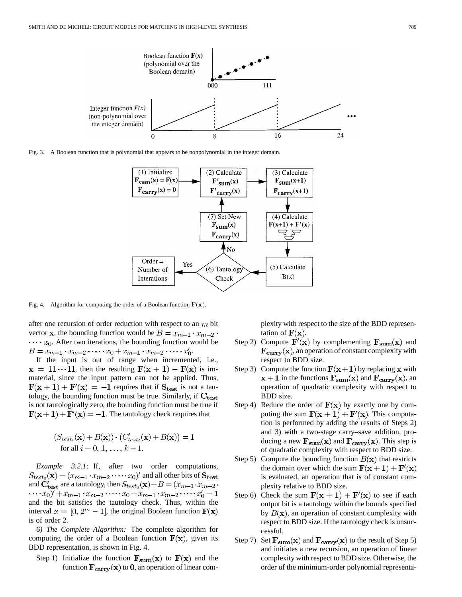

Fig. 3. A Boolean function that is polynomial that appears to be nonpolynomial in the integer domain.



Fig. 4. Algorithm for computing the order of a Boolean function  $\mathbf{F}(\mathbf{x})$ .

after one recursion of order reduction with respect to an  $m$  bit vector **x**, the bounding function would be  $B = x_{m-1} \cdot x_{m-2}$ .  $\cdots$   $x_0$ . After two iterations, the bounding function would be  $B = x_{m-1} \cdot x_{m-2} \cdot \cdots \cdot x_0 + x_{m-1} \cdot x_{m-2} \cdot \cdots \cdot x'_0.$ 

If the input is out of range when incremented, i.e.,  $x = 11 \cdots 11$ , then the resulting  $F(x + 1) - F(x)$  is immaterial, since the input pattern can not be applied. Thus,  $F(x + 1) + F'(x) = -1$  requires that if  $S_{test}$  is not a tautology, the bounding function must be true. Similarly, if  $C_{test}$ is not tautologically zero, the bounding function must be true if  $F(x+1) + F'(x) = -1$ . The tautology check requires that

$$
(S_{test_i}(\mathbf{x}) + B(\mathbf{x})) \cdot (C'_{test_i}(\mathbf{x}) + B(\mathbf{x})) = 1
$$
  
for all  $i = 0, 1, ..., k - 1$ .

*Example 3.2.1:* If, after two order computations,  $S_{test_0}(\mathbf{x}) = (x_{m-1} \cdot x_{m-2} \cdot \dots \cdot x_0)'$  and all other bits of  $S_{test}$ and  $\mathbf{C}'_{\text{test}}$  are a tautology, then  $S_{test_0}(\mathbf{x}) + B = (x_{m-1} \cdot x_{m-2})$ .  $\cdots$   $(x_0)' + x_{m-1} \cdot x_{m-2} \cdot \cdots \cdot x_0 + x_{m-1} \cdot x_{m-2} \cdot \cdots \cdot x_0' = 1$ and the bit satisfies the tautology check. Thus, within the interval  $x = [0, 2<sup>m</sup> - 1]$ , the original Boolean function  $F(x)$ is of order 2.

*6) The Complete Algorithm:* The complete algorithm for computing the order of a Boolean function  $F(x)$ , given its BDD representation, is shown in Fig. 4.

Step 1) Initialize the function  $\mathbf{F}_{sum}(\mathbf{x})$  to  $\mathbf{F}(\mathbf{x})$  and the function  $\mathbf{F}_{\text{carry}}(\mathbf{x})$  to 0, an operation of linear complexity with respect to the size of the BDD representation of  $F(x)$ .

- Step 2) Compute  $\mathbf{F}'(\mathbf{x})$  by complementing  $\mathbf{F}_{\text{sum}}(\mathbf{x})$  and  $\mathbf{F}_{\text{carry}}(\mathbf{x})$ , an operation of constant complexity with respect to BDD size.
- Step 3) Compute the function  $F(x+1)$  by replacing x with  $x + 1$  in the functions  $\mathbf{F}_{sum}(x)$  and  $\mathbf{F}_{carry}(x)$ , an operation of quadratic complexity with respect to BDD size.
- Step 4) Reduce the order of  $F(x)$  by exactly one by computing the sum  $F(x + 1) + F'(x)$ . This computation is performed by adding the results of Steps 2) and 3) with a two-stage carry–save addition, producing a new  $\mathbf{F}_{sum}(\mathbf{x})$  and  $\mathbf{F}_{carry}(\mathbf{x})$ . This step is of quadratic complexity with respect to BDD size.
- Step 5) Compute the bounding function  $B(x)$  that restricts the domain over which the sum  $\mathbf{F}(\mathbf{x} + 1) + \mathbf{F}'(\mathbf{x})$ is evaluated, an operation that is of constant complexity relative to BDD size.
- Step 6) Check the sum  $F(x + 1) + F'(x)$  to see if each output bit is a tautology within the bounds specified by  $B(x)$ , an operation of constant complexity with respect to BDD size. If the tautology check is unsuccessful.
- Step 7) Set  $\mathbf{F}_{\text{sum}}(\mathbf{x})$  and  $\mathbf{F}_{\text{carry}}(\mathbf{x})$  to the result of Step 5) and initiates a new recursion, an operation of linear complexity with respect to BDD size. Otherwise, the order of the minimum-order polynomial representa-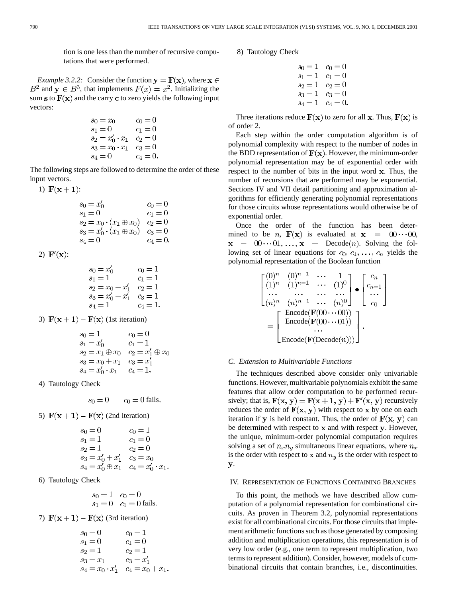tion is one less than the number of recursive computations that were performed.

*Example 3.2.2:* Consider the function  $y = F(x)$ , where  $x \in$  $B^2$  and  $y \in B^5$ , that implements  $F(x) = x^2$ . Initializing the sum s to  $F(x)$  and the carry c to zero yields the following input vectors:

$$
s_0 = x_0 \t c_0 = 0s_1 = 0 \t c_1 = 0s_2 = x'_0 \t c_1 \t c_2 = 0s_3 = x_0 \t c_1 \t c_3 = 0s_4 = 0 \t c_4 = 0.
$$

The following steps are followed to determine the order of these input vectors.

1)  $F(x + 1)$ :

$$
s_0 = x'_0 \t c_0 = 0s_1 = 0 \t c_1 = 0s_2 = x_0 \cdot (x_1 \oplus x_0) \t c_2 = 0s_3 = x'_0 \cdot (x_1 \oplus x_0) \t c_3 = 0s_4 = 0 \t c_4 = 0.
$$

2)  $\mathbf{F}'(\mathbf{x})$ :

$$
s_0 = x_0 \t\t c_0 = 1s_1 = 1 \t\t c_1 = 1s_2 = x_0 + x'_1 \t\t c_2 = 1s_3 = x'_0 + x'_1 \t\t c_3 = 1s_4 = 1 \t\t c_4 = 1.
$$

3) 
$$
\mathbf{F}(\mathbf{x} + \mathbf{1}) - \mathbf{F}(\mathbf{x})
$$
 (1st iteration)

| $s_0 = 1$              | $c_0=0$                 |
|------------------------|-------------------------|
| $s_1 = x'_0$           | $c_1 = 1$               |
| $s_2 = x_1 \oplus x_0$ | $c_2 = x_1' \oplus x_0$ |
| $s_3 = x_0 + x_1$      | $c_3 = x'_1$            |
| $s_4 = x'_0 \cdot x_1$ | $c_4=1.$                |

4) Tautology Check

$$
s_0 = 0 \qquad c_0 = 0 \text{ fails.}
$$

5)  $\mathbf{F}(\mathbf{x} + \mathbf{1}) - \mathbf{F}(\mathbf{x})$  (2nd iteration)

$$
s_0 = 0 \t\t c_0 = 1s_1 = 1 \t\t c_1 = 0s_2 = 1 \t\t c_2 = 0s_3 = x'_0 + x'_1 \t\t c_3 = x_0s_4 = x'_0 \oplus x_1 \t\t c_4 = x'_0 \cdot x_1
$$

6) Tautology Check

$$
s_0 = 1
$$
  $c_0 = 0$   
\n $s_1 = 0$   $c_1 = 0$  fails.

7)  $\mathbf{F}(\mathbf{x} + \mathbf{1}) - \mathbf{F}(\mathbf{x})$  (3rd iteration)

$$
s_0 = 0 \t\t c_0 = 1s_1 = 0 \t\t c_1 = 0s_2 = 1 \t\t c_2 = 1s_3 = x_1 \t\t c_3 = x'_1s_4 = x_0 \cdot x'_1 \t\t c_4 = x_0 + x_1
$$

8) Tautology Check

| $c_0=0$ |
|---------|
| $c_1=0$ |
| $c_2=0$ |
| $c_3=0$ |
| $c_4=0$ |
|         |

Three iterations reduce  $\mathbf{F}(\mathbf{x})$  to zero for all x. Thus,  $\mathbf{F}(\mathbf{x})$  is of order 2.

Each step within the order computation algorithm is of polynomial complexity with respect to the number of nodes in the BDD representation of  $F(x)$ . However, the minimum-order polynomial representation may be of exponential order with respect to the number of bits in the input word  $x$ . Thus, the number of recursions that are performed may be exponential. Sections IV and VII detail partitioning and approximation algorithms for efficiently generating polynomial representations for those circuits whose representations would otherwise be of exponential order.

Once the order of the function has been determined to be *n*,  $F(x)$  is evaluated at  $x = 00 \cdots 00$ ,  $x = 00 \cdots 01, \ldots, x = \text{Decode}(n)$ . Solving the following set of linear equations for  $c_0, c_1, \ldots, c_n$  yields the polynomial representation of the Boolean function

$$
\begin{bmatrix}\n(0)^n & (0)^{n-1} & \cdots & 1 \\
(1)^n & (1)^{n-1} & \cdots & (1)^0 \\
\cdots & \cdots & \cdots & \cdots \\
(n)^n & (n)^{n-1} & \cdots & (n)^0\n\end{bmatrix}\n\begin{bmatrix}\nc_n \\
\cdots \\
c_0\n\end{bmatrix}
$$
\n
$$
=\n\begin{bmatrix}\n\text{Encode}(\mathbf{F}(00\cdots00)) \\
\text{Encode}(\mathbf{F}(00\cdots01)) \\
\cdots \\
\text{Encode}(\mathbf{F}(\text{Decode}(n)))\n\end{bmatrix}.
$$

## *C. Extension to Multivariable Functions*

The techniques described above consider only univariable functions. However, multivariable polynomials exhibit the same features that allow order computation to be performed recursively; that is,  $F(x, y) = F(x + 1, y) + F'(x, y)$  recursively reduces the order of  $F(x, y)$  with respect to x by one on each iteration if y is held constant. Thus, the order of  $F(x, y)$  can be determined with respect to  $x$  and with respect  $y$ . However, the unique, minimum-order polynomial computation requires solving a set of  $n_x n_y$  simultaneous linear equations, where  $n_x$ is the order with respect to  $x$  and  $n_y$  is the order with respect to y.

# IV. REPRESENTATION OF FUNCTIONS CONTAINING BRANCHES

To this point, the methods we have described allow computation of a polynomial representation for combinational circuits. As proven in Theorem 3.2, polynomial representations exist for all combinational circuits. For those circuits that implement arithmetic functions such as those generated by composing addition and multiplication operations, this representation is of very low order (e.g., one term to represent multiplication, two terms to represent addition). Consider, however, models of combinational circuits that contain branches, i.e., discontinuities.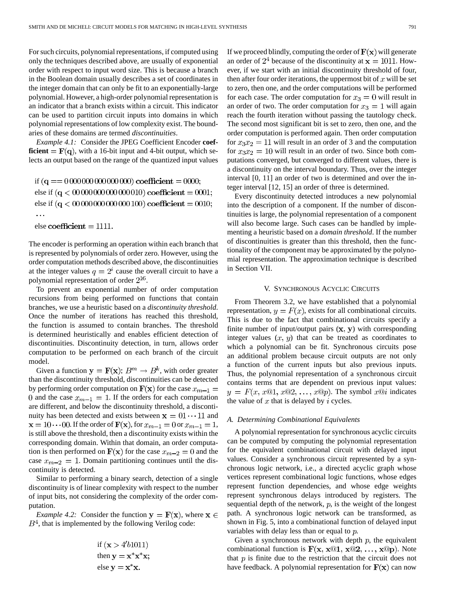For such circuits, polynomial representations, if computed using only the techniques described above, are usually of exponential order with respect to input word size. This is because a branch in the Boolean domain usually describes a set of coordinates in the integer domain that can only be fit to an exponentially-large polynomial. However, a high-order polynomial representation is an indicator that a branch exists within a circuit. This indicator can be used to partition circuit inputs into domains in which polynomial representations of low complexity exist. The boundaries of these domains are termed *discontinuities*.

*Example 4.1:* Consider the JPEG Coefficient Encoder **coefficient**  $= \mathbf{F}(\mathbf{q})$ , with a 16-bit input and 4-bit output, which selects an output based on the range of the quantized input values

```
if (q == 000000000000000) coefficient = 0000;
else if (q < 00000000000000010) coefficient = 0001;
else if (q < 00000000000000100) coefficient = 0010;
```
else coefficient  $= 1111$ .

The encoder is performing an operation within each branch that is represented by polynomials of order zero. However, using the order computation methods described above, the discontinuities at the integer values  $q = 2^i$  cause the overall circuit to have a polynomial representation of order  $2^{16}$ .

To prevent an exponential number of order computation recursions from being performed on functions that contain branches, we use a heuristic based on a *discontinuity threshold*. Once the number of iterations has reached this threshold, the function is assumed to contain branches. The threshold is determined heuristically and enables efficient detection of discontinuities. Discontinuity detection, in turn, allows order computation to be performed on each branch of the circuit model.

Given a function  $y = F(x)$ :  $B^m \to B^k$ , with order greater than the discontinuity threshold, discontinuities can be detected by performing order computation on  $\mathbf{F}(\mathbf{x})$  for the case  $x_{m-1} =$ 0 and the case  $x_{m-1} = 1$ . If the orders for each computation are different, and below the discontinuity threshold, a discontinuity has been detected and exists between  $x = 01 \cdots 11$  and  $\mathbf{x} = 10 \cdots 00$ . If the order of  $\mathbf{F}(\mathbf{x})$ , for  $x_{m-1} = 0$  or  $x_{m-1} = 1$ , is still above the threshold, then a discontinuity exists within the corresponding domain. Within that domain, an order computation is then performed on  $\mathbf{F}(\mathbf{x})$  for the case  $x_{m-2} = 0$  and the case  $x_{m-2} = 1$ . Domain partitioning continues until the discontinuity is detected.

Similar to performing a binary search, detection of a single discontinuity is of linear complexity with respect to the number of input bits, not considering the complexity of the order computation.

*Example 4.2:* Consider the function  $y = F(x)$ , where  $x \in$  $B<sup>4</sup>$ , that is implemented by the following Verilog code:

if 
$$
(\mathbf{x} > 4'b1011)
$$
  
then  $\mathbf{y} = \mathbf{x}^* \mathbf{x}^* \mathbf{x}$ ;  
else  $\mathbf{y} = \mathbf{x}^* \mathbf{x}$ .

If we proceed blindly, computing the order of  $F(x)$  will generate an order of  $2^4$  because of the discontinuity at  $\mathbf{x} = 1011$ . However, if we start with an initial discontinuity threshold of four, then after four order iterations, the uppermost bit of  $x$  will be set to zero, then one, and the order computations will be performed for each case. The order computation for  $x_3 = 0$  will result in an order of two. The order computation for  $x_3 = 1$  will again reach the fourth iteration without passing the tautology check. The second most significant bit is set to zero, then one, and the order computation is performed again. Then order computation for  $x_3x_2 = 11$  will result in an order of 3 and the computation for  $x_3x_2 = 10$  will result in an order of two. Since both computations converged, but converged to different values, there is a discontinuity on the interval boundary. Thus, over the integer interval [0, 11] an order of two is determined and over the integer interval [12, 15] an order of three is determined.

Every discontinuity detected introduces a new polynomial into the description of a component. If the number of discontinuities is large, the polynomial representation of a component will also become large. Such cases can be handled by implementing a heuristic based on a *domain threshold*. If the number of discontinuities is greater than this threshold, then the functionality of the component may be approximated by the polynomial representation. The approximation technique is described in Section VII.

# V. SYNCHRONOUS ACYCLIC CIRCUITS

From Theorem 3.2, we have established that a polynomial representation,  $y = F(x)$ , exists for all combinational circuits. This is due to the fact that combinational circuits specify a finite number of input/output pairs  $(x, y)$  with corresponding integer values  $(x, y)$  that can be treated as coordinates to which a polynomial can be fit. Synchronous circuits pose an additional problem because circuit outputs are not only a function of the current inputs but also previous inputs. Thus, the polynomial representation of a synchronous circuit contains terms that are dependent on previous input values:  $y = F(x, x@1, x@2, ..., x@p)$ . The symbol  $x@i$  indicates the value of  $x$  that is delayed by  $i$  cycles.

## *A. Determining Combinational Equivalents*

A polynomial representation for synchronous acyclic circuits can be computed by computing the polynomial representation for the equivalent combinational circuit with delayed input values. Consider a synchronous circuit represented by a synchronous logic network, i.e., a directed acyclic graph whose vertices represent combinational logic functions, whose edges represent function dependencies, and whose edge weights represent synchronous delays introduced by registers. The sequential depth of the network,  $p$ , is the weight of the longest path. A synchronous logic network can be transformed, as shown in Fig. 5, into a combinational function of delayed input variables with delay less than or equal to  $p$ .

Given a synchronous network with depth  $p$ , the equivalent combinational function is  $F(x, x@1, x@2, ..., x@p)$ . Note that  $p$  is finite due to the restriction that the circuit does not have feedback. A polynomial representation for  $F(x)$  can now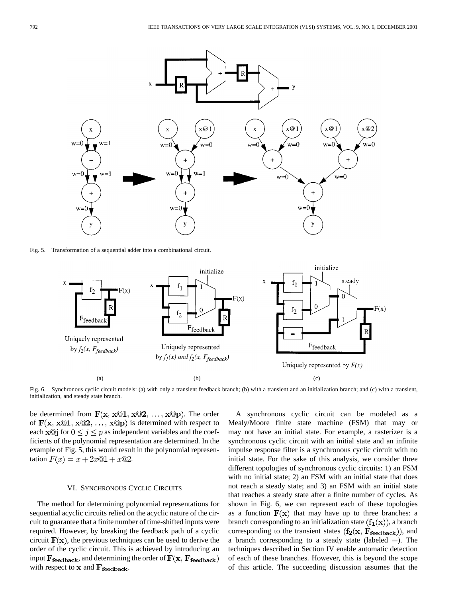

Fig. 5. Transformation of a sequential adder into a combinational circuit.



Fig. 6. Synchronous cyclic circuit models: (a) with only a transient feedback branch; (b) with a transient and an initialization branch; and (c) with a transient, initialization, and steady state branch.

be determined from  $F(x, x@1, x@2, ..., x@p)$ . The order of  $\mathbf{F}(\mathbf{x}, \mathbf{x} \odot \mathbf{1}, \mathbf{x} \odot \mathbf{2}, \ldots, \mathbf{x} \odot \mathbf{p})$  is determined with respect to each  $\mathbf{x}$ **@j** for  $0 \leq j \leq p$  as independent variables and the coefficients of the polynomial representation are determined. In the example of Fig. 5, this would result in the polynomial representation  $F(x) = x + 2x@1 + x@2.$ 

## VI. SYNCHRONOUS CYCLIC CIRCUITS

The method for determining polynomial representations for sequential acyclic circuits relied on the acyclic nature of the circuit to guarantee that a finite number of time-shifted inputs were required. However, by breaking the feedback path of a cyclic circuit  $F(x)$ , the previous techniques can be used to derive the order of the cyclic circuit. This is achieved by introducing an input  $\mathbf{F}_{\text{feedback}}$ , and determining the order of  $\mathbf{F}(\mathbf{x},\, \mathbf{F}_{\text{feedback}})$ with respect to  $x$  and  $\mathbf{F}_{\text{feedback}}$ .

A synchronous cyclic circuit can be modeled as a Mealy/Moore finite state machine (FSM) that may or may not have an initial state. For example, a rasterizer is a synchronous cyclic circuit with an initial state and an infinite impulse response filter is a synchronous cyclic circuit with no initial state. For the sake of this analysis, we consider three different topologies of synchronous cyclic circuits: 1) an FSM with no initial state; 2) an FSM with an initial state that does not reach a steady state; and 3) an FSM with an initial state that reaches a steady state after a finite number of cycles. As shown in Fig. 6, we can represent each of these topologies as a function  $F(x)$  that may have up to three branches: a branch corresponding to an initialization state  $(f_1(x))$ , a branch corresponding to the transient states  $(f_2(x, F_{\text{feedback}}))$ , and a branch corresponding to a steady state (labeled  $=$ ). The techniques described in Section IV enable automatic detection of each of these branches. However, this is beyond the scope of this article. The succeeding discussion assumes that the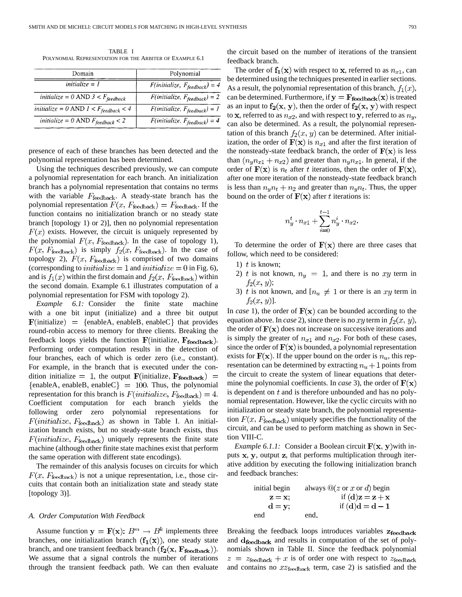TABLE I POLYNOMIAL REPRESENTATION FOR THE ARBITER OF EXAMPLE 6.1

| Domain                                              | Polynomial                                   |
|-----------------------------------------------------|----------------------------------------------|
| $initialize = 1$                                    | $F(intialize, F_{feedback}) = 4$             |
| <i>initialize</i> = 0 AND $3 < F_{\text{feedback}}$ | $F(intialize, F_{feedback}) = 2$             |
| <i>initialize</i> = $0$ AND $1 < F_{feedback} < 4$  | $F$ (initialize, $F_{\text{feedback}}$ ) = 1 |
| <i>initialize</i> = 0 AND $F_{\text{feedback}}$ < 2 | $F(intialize, F_{feedback}) = 4$             |

presence of each of these branches has been detected and the polynomial representation has been determined.

Using the techniques described previously, we can compute a polynomial representation for each branch. An initialization branch has a polynomial representation that contains no terms with the variable  $F_{\text{feedback}}$ . A steady-state branch has the polynomial representation  $F(x, F_{\text{feedback}}) = F_{\text{feedback}}$ . If the function contains no initialization branch or no steady state branch [topology 1) or 2)], then no polynomial representation  $F(x)$  exists. However, the circuit is uniquely represented by the polynomial  $F(x, F_{\text{feedback}})$ . In the case of topology 1),  $F(x, F_{\text{feedback}})$  is simply  $f_2(x, F_{\text{feedback}})$ . In the case of topology 2),  $F(x, F_{\text{feedback}})$  is comprised of two domains (corresponding to *initialize* = 1 and *initialize* = 0 in Fig. 6), and is  $f_1(x)$  within the first domain and  $f_2(x, F_{\text{feedback}})$  within the second domain. Example 6.1 illustrates computation of a polynomial representation for FSM with topology 2).

*Example 6.1:* Consider the finite state machine with a one bit input (initialize) and a three bit output  $\mathbf{F}$ (initialize) = {enableA, enableB, enableC} that provides round-robin access to memory for three clients. Breaking the feedback loops yields the function  $\mathbf{F}$ (initialize,  $\mathbf{F}_{\text{feedback}}$ ). Performing order computation results in the detection of four branches, each of which is order zero (i.e., constant). For example, in the branch that is executed under the condition initialize = 1, the output  $\mathbf{F}$ (initialize,  $\mathbf{F}_{\text{feedback}}$ ) =  ${enableA, enableB, enableC} = 100$ . Thus, the polynomial representation for this branch is  $F (initialize, F_{\text{feedback}}) = 4.$ Coefficient computation for each branch yields the following order zero polynomial representations for  $F (initialize, F_{\text{feedback}})$  as shown in Table I. An initialization branch exists, but no steady-state branch exists, thus  $F (initialize, F_{\text{feedback}})$  uniquely represents the finite state machine (although other finite state machines exist that perform the same operation with different state encodings).

The remainder of this analysis focuses on circuits for which  $F(x, F_{\text{feedback}})$  is not a unique representation, i.e., those circuits that contain both an initialization state and steady state [topology 3)].

## *A. Order Computation With Feedback*

Assume function  $y = F(x)$ :  $B^m \rightarrow B^k$  implements three branches, one initialization branch  $(f_1(x))$ , one steady state branch, and one transient feedback branch  $(f_2(x, F_{\text{feedback}})).$ We assume that a signal controls the number of iterations through the transient feedback path. We can then evaluate

the circuit based on the number of iterations of the transient feedback branch.

The order of  $f_1(x)$  with respect to x, referred to as  $n_{x1}$ , can be determined using the techniques presented in earlier sections. As a result, the polynomial representation of this branch,  $f_1(x)$ , can be determined. Furthermore, if  $y = F_{\text{feedback}}(x)$  is treated as an input to  $f_2(x, y)$ , then the order of  $f_2(x, y)$  with respect to **x**, referred to as  $n_{x2}$ , and with respect to **y**, referred to as  $n_y$ , can also be determined. As a result, the polynomial representation of this branch  $f_2(x, y)$  can be determined. After initialization, the order of  $F(x)$  is  $n_{x1}$  and after the first iteration of the nonsteady-state feedback branch, the order of  $F(x)$  is less than  $(n_{y}n_{x1} + n_{x2})$  and greater than  $n_{y}n_{x1}$ . In general, if the order of  $F(x)$  is  $n_t$  after t iterations, then the order of  $F(x)$ , after one more iteration of the nonsteady-state feedback branch is less than  $n_y n_t + n_2$  and greater than  $n_y n_t$ . Thus, the upper bound on the order of  $F(x)$  after t iterations is:

$$
n_y^t\cdot n_{x1}+\sum_{i=0}^{t-1}n_y^i\cdot n_{x2}.
$$

To determine the order of  $F(x)$  there are three cases that follow, which need to be considered:

- 1)  $t$  is known;
- 2) t is not known,  $n_y = 1$ , and there is no xy term in  $f_2(x, y);$
- 3) t is not known, and  $[n_u \neq 1]$  or there is an  $xy$  term in  $f_2(x, y)$ ].

In *case* 1), the order of  $F(x)$  can be bounded according to the equation above. In *case* 2), since there is no xy term in  $f_2(x, y)$ , the order of  $F(x)$  does not increase on successive iterations and is simply the greater of  $n_{x1}$  and  $n_{x2}$ . For both of these cases, since the order of  $\mathbf{F}(\mathbf{x})$  is bounded, a polynomial representation exists for  $F(x)$ . If the upper bound on the order is  $n_u$ , this representation can be determined by extracting  $n_u + 1$  points from the circuit to create the system of linear equations that determine the polynomial coefficients. In *case* 3), the order of  $\mathbf{F}(\mathbf{x})$ is dependent on  $t$  and is therefore unbounded and has no polynomial representation. However, like the cyclic circuits with no initialization or steady state branch, the polynomial representation  $F(x, F_{\text{feedback}})$  uniquely specifies the functionality of the circuit, and can be used to perform matching as shown in Section VIII-C.

*Example 6.1.1:* Consider a Boolean circuit  $F(x, y)$  with inputs  $x$ ,  $y$ , output  $z$ , that performs multiplication through iterative addition by executing the following initialization branch and feedback branches:

| initial begin             | always $\mathbb{Q}(z \text{ or } x \text{ or } d)$ begin |
|---------------------------|----------------------------------------------------------|
| $z = x$ ;                 | if $(\mathbf{d})\mathbf{z} = \mathbf{z} + \mathbf{x}$    |
| $\mathbf{d} = \mathbf{v}$ | if $(d)d = d - 1$                                        |
| end                       | end.                                                     |

Breaking the feedback loops introduces variables  $z_{\text{feedback}}$ and  $d_{\text{feedback}}$  and results in computation of the set of polynomials shown in Table II. Since the feedback polynomial  $z = z_{\text{feedback}} + x$  is of order one with respect to  $z_{\text{feedback}}$ and contains no  $xz_{\text{feedback}}$  term, case 2) is satisfied and the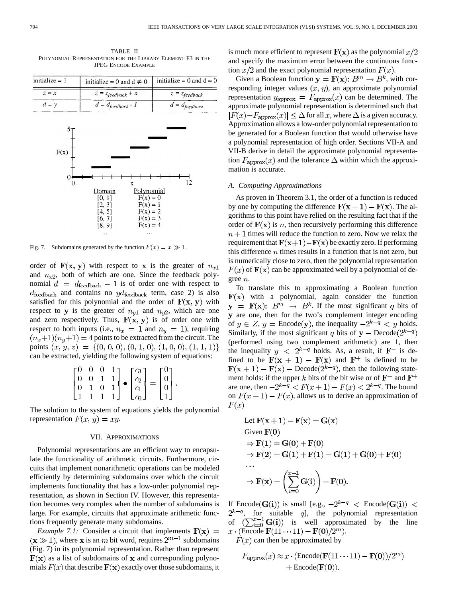TABLE II POLYNOMIAL REPRESENTATION FOR THE LIBRARY ELEMENT F3 IN THE JPEG ENCODE EXAMPLE

| initialize $= 1$ | initialize = 0 and $d \neq 0$ | initialize = 0 and $d = 0$ |
|------------------|-------------------------------|----------------------------|
| $z = x$          | $z = z_{feedback} + x$        | $z = z_{feedback}$         |
| $d = v$          | $d = d_{\text{feedback}} - 1$ | $d = d_{feedback}$         |



Fig. 7. Subdomains generated by the function  $F(x) = x \gg 1$ .

order of  $F(x, y)$  with respect to x is the greater of  $n_{x1}$ and  $n_{x2}$ , both of which are one. Since the feedback polynomial  $d = d_{\text{feedback}} - 1$  is of order one with respect to  $d_{\text{feedback}}$  and contains no  $yd_{\text{feedback}}$  term, case 2) is also satisfied for this polynomial and the order of  $F(x, y)$  with respect to y is the greater of  $n_{y1}$  and  $n_{y2}$ , which are one and zero respectively. Thus,  $F(x, y)$  is of order one with respect to both inputs (i.e.,  $n_x = 1$  and  $n_y = 1$ ), requiring  $(n_x+1)(n_y+1) = 4$  points to be extracted from the circuit. The points  $(x, y, z) = \{(0, 0, 0), (0, 1, 0), (1, 0, 0), (1, 1, 1)\}\$ can be extracted, yielding the following system of equations:

$$
\begin{bmatrix} 0 & 0 & 0 & 1 \\ 0 & 0 & 1 & 1 \\ 0 & 1 & 0 & 1 \\ 1 & 1 & 1 & 1 \end{bmatrix} \bullet \begin{bmatrix} c_3 \\ c_2 \\ c_1 \\ c_0 \end{bmatrix} = \begin{bmatrix} 0 \\ 0 \\ 0 \\ 1 \end{bmatrix}.
$$

The solution to the system of equations yields the polynomial representation  $F(x, y) = xy$ .

## VII. APPROXIMATIONS

Polynomial representations are an efficient way to encapsulate the functionality of arithmetic circuits. Furthermore, circuits that implement nonarithmetic operations can be modeled efficiently by determining subdomains over which the circuit implements functionality that has a low-order polynomial representation, as shown in Section IV. However, this representation becomes very complex when the number of subdomains is large. For example, circuits that approximate arithmetic functions frequently generate many subdomains.

*Example 7.1:* Consider a circuit that implements  $\mathbf{F}(\mathbf{x}) =$  $(\mathbf{x} \gg 1)$ , where **x** is an *m* bit word, requires  $2^{m-1}$  subdomains (Fig. 7) in its polynomial representation. Rather than represent  $F(x)$  as a list of subdomains of x and corresponding polynomials  $F(x)$  that describe  $\mathbf{F}(\mathbf{x})$  exactly over those subdomains, it is much more efficient to represent  $F(x)$  as the polynomial  $x/2$ and specify the maximum error between the continuous function  $x/2$  and the exact polynomial representation  $F(x)$ .

Given a Boolean function  $y = F(x)$ :  $B^m \to B^k$ , with corresponding integer values  $(x, y)$ , an approximate polynomial representation  $y_{\text{approx}} = F_{\text{approx}}(x)$  can be determined. The approximate polynomial representation is determined such that  $|F(x) - F_{\text{approx}}(x)| \leq \Delta$  for all x, where  $\Delta$  is a given accuracy. Approximation allows a low-order polynomial representation to be generated for a Boolean function that would otherwise have a polynomial representation of high order. Sections VII-A and VII-B derive in detail the approximate polynomial representation  $F_{\text{approx}}(x)$  and the tolerance  $\Delta$  within which the approximation is accurate.

## *A. Computing Approximations*

As proven in Theorem 3.1, the order of a function is reduced by one by computing the difference  $F(x + 1) - F(x)$ . The algorithms to this point have relied on the resulting fact that if the order of  $\mathbf{F}(\mathbf{x})$  is n, then recursively performing this difference  $n+1$  times will reduce the function to zero. Now we relax the requirement that  $\mathbf{F}(\mathbf{x+1}) - \mathbf{F}(\mathbf{x})$  be exactly zero. If performing this difference  $n$  times results in a function that is not zero, but is numerically close to zero, then the polynomial representation  $F(x)$  of  $F(x)$  can be approximated well by a polynomial of degree  $n$ .

To translate this to approximating a Boolean function  $F(x)$  with a polynomial, again consider the function  $y = F(x)$ :  $B^m \rightarrow B^k$ . If the most significant q bits of y are one, then for the two's complement integer encoding of  $y \in Z$ ,  $y = \text{Encode}(y)$ , the inequality  $-2^{k-q} < y$  holds. Similarly, if the most significant q bits of  $y$  – Decode( $2^{k-q}$ ) (performed using two complement arithmetic) are 1, then the inequality  $y < 2^{k-q}$  holds. As, a result, if  $\mathbf{F}^-$  is defined to be  $F(x + 1) - F(x)$  and  $F^+$  is defined to be  $\mathbf{F}(\mathbf{x} + \mathbf{1}) - \mathbf{F}(\mathbf{x})$  – Decode( $2^{k-q}$ ), then the following statement holds: if the upper k bits of the bit wise or of  $\mathbf{F}^-$  and  $\mathbf{F}^+$ are one, then  $-2^{k-q} < F(x+1) - F(x) < 2^{k-q}$ . The bound on  $F(x+1) - F(x)$ , allows us to derive an approximation of  $F(x)$ 

Let 
$$
\mathbf{F}(\mathbf{x} + \mathbf{1}) - \mathbf{F}(\mathbf{x}) = \mathbf{G}(\mathbf{x})
$$
  
\nGiven  $\mathbf{F}(\mathbf{0})$   
\n $\Rightarrow \mathbf{F}(\mathbf{1}) = \mathbf{G}(\mathbf{0}) + \mathbf{F}(\mathbf{0})$   
\n $\Rightarrow \mathbf{F}(\mathbf{2}) = \mathbf{G}(\mathbf{1}) + \mathbf{F}(\mathbf{1}) = \mathbf{G}(\mathbf{1}) + \mathbf{G}(\mathbf{0}) + \mathbf{F}(\mathbf{0})$   
\n...  
\n $\Rightarrow \mathbf{F}(\mathbf{x}) = \left(\sum_{i=0}^{x-1} \mathbf{G}(i)\right) + \mathbf{F}(\mathbf{0}).$ 

If Encode( $G(i)$ ) is small [e.g.,  $-2^{k-q} <$  Encode( $G(i)$ ) <  $2^{k-q}$ , for suitable q], the polynomial representation of  $(\sum_{i=0}^{x-1} G(i))$  is well approximated by the line x · (Encode  $\mathbf{F}(11 \cdots 11) - \mathbf{F}(0)/2^m$ ).

 $F(x)$  can then be approximated by

$$
F_{\text{approx}}(x) \approx x \cdot (\text{Encode}(\mathbf{F}(11\cdots11) - \mathbf{F}(0))/2^m) + \text{Encode}(\mathbf{F}(0)).
$$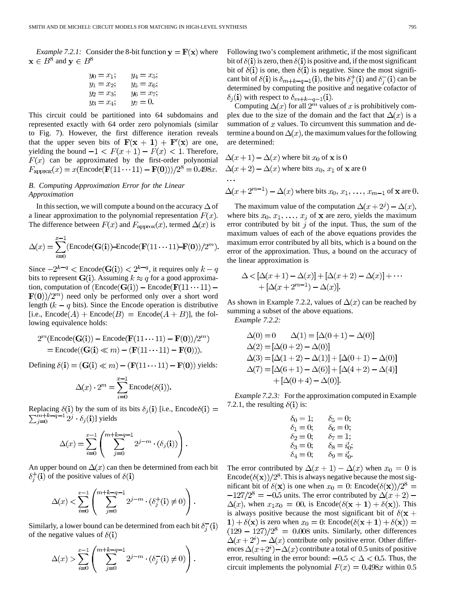*Example 7.2.1:* Consider the 8-bit function  $y = F(x)$  where  $\mathbf{x} \in B^8$  and  $\mathbf{y} \in B^8$ 

$$
y_0 = x_1;
$$
  $y_4 = x_5;$   
\n $y_1 = x_2;$   $y_5 = x_6;$   
\n $y_2 = x_3;$   $y_6 = x_7;$   
\n $y_3 = x_4;$   $y_7 = 0.$ 

This circuit could be partitioned into 64 subdomains and represented exactly with 64 order zero polynomials (similar to Fig. 7). However, the first difference iteration reveals that the upper seven bits of  $F(x + 1) + F'(x)$  are one, yielding the bound  $-1 < F(x+1) - F(x) < 1$ . Therefore,  $F(x)$  can be approximated by the first-order polynomial  $F_{\text{approx}}(x) = x(\text{Encode}(\mathbf{F}(11\cdots 11) - \mathbf{F}(0)))/2^8 = 0.498x.$ 

# *B. Computing Approximation Error for the Linear Approximation*

In this section, we will compute a bound on the accuracy  $\Delta$  of a linear approximation to the polynomial representation  $F(x)$ . The difference between  $F(x)$  and  $F_{\text{approx}}(x)$ , termed  $\Delta(x)$  is

$$
\Delta(x) = \sum_{i=0}^{x-1} (\text{Encode}(G(i)) - \text{Encode}(F(11 \cdots 11) - F(0))/2^m).
$$

Since  $-2^{k-q}$  < Encode( $G(i)$ ) <  $2^{k-q}$ , it requires only  $k-q$ bits to represent  $\mathbf{G}(i)$ . Assuming  $k \approx q$  for a good approximation, computation of  $(Encode(G(i)) -Encode(F(11 \cdots 11) \mathbf{F}(0)/2^m$  need only be performed only over a short word length  $(k - q)$  bits). Since the Encode operation is distributive [i.e.,  $\text{Encode}(A) + \text{Encode}(B) = \text{Encode}(A+B)$ ], the following equivalence holds:

$$
2m(Encode(G(i)) - encode(F(11...11) - F(0))/2m)
$$
  
= encode((G(i)  $\ll m) - (F(11...11) - F(0))).$ 

Defining  $\delta(i) = (G(i) \ll m) - (F(11 \cdots 11) - F(0))$  yields:

$$
\Delta(x) \cdot 2^m = \sum_{i=0}^{x-1} \text{Encode}(\delta(i)).
$$

Replacing  $\delta(i)$  by the sum of its bits  $\delta_j(i)$  [i.e., Encode $\delta(i)$  =  $\sum_{j=0}^{m+k-q-1} 2^j \cdot \delta_j(i)$  yields

$$
\Delta(x) = \sum_{i=0}^{x-1} \left( \sum_{j=0}^{m+k-q-1} 2^{j-m} \cdot (\delta_j(i)) \right).
$$

An upper bound on  $\Delta(x)$  can then be determined from each bit  $\delta_i^+$ (i) of the positive values of  $\delta(i)$ 

$$
\Delta(x) < \sum_{i=0}^{x-1} \left( \sum_{j=0}^{m+k-q-1} 2^{j-m} \cdot (\delta_j^+(\mathbf{i}) \neq 0) \right).
$$

Similarly, a lower bound can be determined from each bit  $\delta_i^-(i)$ of the negative values of  $\delta(i)$ 

$$
\Delta(x) > \sum_{i=0}^{x-1} \left( \sum_{j=0}^{m+k-q-1} 2^{j-m} \cdot (\delta_j^-(i) \neq 0) \right).
$$

Following two's complement arithmetic, if the most significant bit of  $\delta(i)$  is zero, then  $\delta(i)$  is positive and, if the most significant bit of  $\delta(i)$  is one, then  $\delta(i)$  is negative. Since the most significant bit of  $\delta(i)$  is  $\delta_{m+k-q-1}(i)$ , the bits  $\delta_i^+(i)$  and  $\delta_i^-(i)$  can be determined by computing the positive and negative cofactor of  $\delta_j(i)$  with respect to  $\delta_{m+k-q-1}(i)$ .

Computing  $\Delta(x)$  for all  $2^m$  values of x is prohibitively complex due to the size of the domain and the fact that  $\Delta(x)$  is a summation of  $x$  values. To circumvent this summation and determine a bound on  $\Delta(x)$ , the maximum values for the following are determined:

$$
\Delta(x+1) - \Delta(x)
$$
 where bit  $x_0$  of **x** is 0  
\n
$$
\Delta(x+2) - \Delta(x)
$$
 where bits  $x_0$ ,  $x_1$  of **x** are 0  
\n...  
\n
$$
\Delta(x+2^{m-1}) - \Delta(x)
$$
 where bits  $x_0, x_1, ..., x_{m-1}$  of **x** are 0.

The maximum value of the computation  $\Delta(x+2^j) - \Delta(x)$ , where bits  $x_0, x_1, \ldots, x_i$  of **x** are zero, yields the maximum error contributed by bit  $j$  of the input. Thus, the sum of the maximum values of each of the above equations provides the maximum error contributed by all bits, which is a bound on the error of the approximation. Thus, a bound on the accuracy of the linear approximation is

$$
\Delta < [\Delta(x+1) - \Delta(x)] + [\Delta(x+2) - \Delta(x)] + \cdots
$$
  
+  $[\Delta(x+2^{m-1}) - \Delta(x)].$ 

As shown in Example 7.2.2, values of  $\Delta(x)$  can be reached by summing a subset of the above equations.

*Example 7.2.2:*

$$
\Delta(0) = 0 \quad \Delta(1) = [\Delta(0+1) - \Delta(0)]
$$
  
\n
$$
\Delta(2) = [\Delta(0+2) - \Delta(0)]
$$
  
\n
$$
\Delta(3) = [\Delta(1+2) - \Delta(1)] + [\Delta(0+1) - \Delta(0)]
$$
  
\n
$$
\Delta(7) = [\Delta(6+1) - \Delta(6)] + [\Delta(4+2) - \Delta(4)]
$$
  
\n
$$
+ [\Delta(0+4) - \Delta(0)].
$$

*Example 7.2.3:* For the approximation computed in Example 7.2.1, the resulting  $\delta(i)$  is:

$$
\begin{array}{ll} \delta_0 = 1; & \delta_5 = 0; \\ \delta_1 = 0; & \delta_6 = 0; \\ \delta_2 = 0; & \delta_7 = 1; \\ \delta_3 = 0; & \delta_8 = i'_0; \\ \delta_4 = 0; & \delta_9 = i'_0. \end{array}
$$

The error contributed by  $\Delta(x+1) - \Delta(x)$  when  $x_0 = 0$  is  $\text{Encode}(\delta(\mathbf{x}))/2^8$ . This is always negative because the most significant bit of  $\delta(\mathbf{x})$  is one when  $x_0 = 0$ : Encode $(\delta(\mathbf{x}))/2^8 =$  $-127/2^8 = -0.5$  units. The error contributed by  $\Delta(x+2)$  –  $\Delta(x)$ , when  $x_1x_0 = 00$ , is Encode $(\delta(\mathbf{x} + 1) + \delta(\mathbf{x}))$ . This is always positive because the most significant bit of  $\delta(\mathbf{x} + \mathbf{z})$  $i(\mathbf{x}) + \delta(\mathbf{x})$  is zero when  $x_0 = 0$ : Encode $(\delta(\mathbf{x} + \mathbf{1}) + \delta(\mathbf{x})) =$  $(129 - 127)/2^8 = 0.008$  units. Similarly, other differences  $\Delta(x+2^i) - \Delta(x)$  contribute only positive error. Other differences  $\Delta(x+2^i) - \Delta(x)$  contribute a total of 0.5 units of positive error, resulting in the error bound:  $-0.5 < \Delta < 0.5$ . Thus, the circuit implements the polynomial  $F(x) = 0.498x$  within 0.5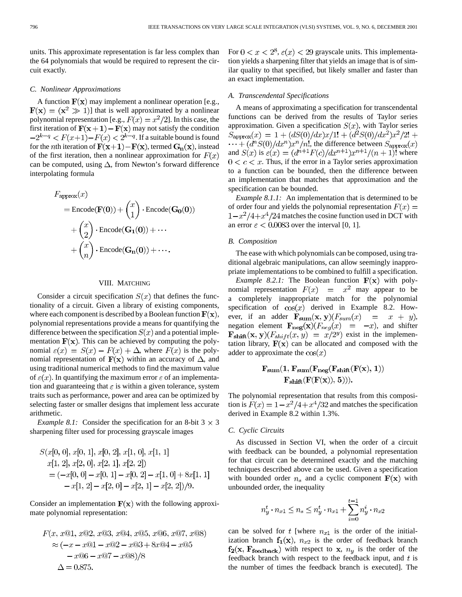units. This approximate representation is far less complex than the 64 polynomials that would be required to represent the circuit exactly.

## *C. Nonlinear Approximations*

A function  $F(x)$  may implement a nonlinear operation [e.g.,  $F(x) = (x^2 \gg 1)$ ] that is well approximated by a nonlinear polynomial representation [e.g.,  $F(x) = x^2/2$ ]. In this case, the first iteration of  $F(x+1) - F(x)$  may not satisfy the condition  $-2^{k-q} < F(x+1)-F(x) < 2^{k-q}$ . If a suitable bound is found for the *n*th iteration of  $F(x+1) - F(x)$ , termed  $G_n(x)$ , instead of the first iteration, then a nonlinear approximation for  $F(x)$ can be computed, using  $\Delta$ , from Newton's forward difference interpolating formula

$$
F_{\text{approx}}(x)
$$
  
= 
$$
Encode(\mathbf{F}(0)) + {x \choose 1} \cdot encode(\mathbf{G_0}(0))
$$
  
+ 
$$
{x \choose 2} \cdot encode(\mathbf{G_1}(0)) + \cdots
$$
  
+ 
$$
{x \choose n} \cdot encode(\mathbf{G_n}(0)) + \cdots
$$

## VIII. MATCHING

Consider a circuit specification  $S(x)$  that defines the functionality of a circuit. Given a library of existing components, where each component is described by a Boolean function  $F(x)$ , polynomial representations provide a means for quantifying the difference between the specification  $S(x)$  and a potential implementation  $F(x)$ . This can be achieved by computing the polynomial  $\varepsilon(x) = S(x) - F(x) + \Delta$ , where  $F(x)$  is the polynomial representation of  $F(x)$  within an accuracy of  $\Delta$ , and using traditional numerical methods to find the maximum value of  $\varepsilon(x)$ . In quantifying the maximum error  $\varepsilon$  of an implementation and guaranteeing that  $\varepsilon$  is within a given tolerance, system traits such as performance, power and area can be optimized by selecting faster or smaller designs that implement less accurate arithmetic.

*Example 8.1:* Consider the specification for an 8-bit  $3 \times 3$ sharpening filter used for processing grayscale images

$$
S(x[0, 0], x[0, 1], x[0, 2], x[1, 0], x[1, 1]
$$
  
\n
$$
x[1, 2], x[2, 0], x[2, 1], x[2, 2])
$$
  
\n
$$
= (-x[0, 0] - x[0, 1] - x[0, 2] - x[1, 0] + 8x[1, 1]
$$
  
\n
$$
- x[1, 2] - x[2, 0] - x[2, 1] - x[2, 2])/9.
$$

Consider an implementation  $F(x)$  with the following approximate polynomial representation:

$$
F(x, x@1, x@2, x@3, x@4, x@5, x@6, x@7, x@8)
$$
  
\n
$$
\approx (-x - x@1 - x@2 - x@3 + 8x@4 - x@5
$$
  
\n
$$
-x@6 - x@7 - x@8)/8
$$
  
\n
$$
\Delta = 0.875.
$$

For  $0 < x < 2^8$ ,  $\varepsilon(x) < 29$  grayscale units. This implementation yields a sharpening filter that yields an image that is of similar quality to that specified, but likely smaller and faster than an exact implementation.

# *A. Transcendental Specifications*

A means of approximating a specification for transcendental functions can be derived from the results of Taylor series approximation. Given a specification  $S(x)$ , with Taylor series  $S_{\text{approx}}(x) = 1 + (dS(0)/dx)x/1! + (d^2S(0)/dx^2)x^2/2! +$  $\cdots + (d^n S(0)/dx^n)x^n/n!$ , the difference between  $S_{\text{approx}}(x)$ and  $S(x)$  is  $\varepsilon(x) = (d^{n+1}F(c)/dx^{n+1})x^{n+1}/(n+1)!$  where  $0 < c < x$ . Thus, if the error in a Taylor series approximation to a function can be bounded, then the difference between an implementation that matches that approximation and the specification can be bounded.

*Example 8.1.1:* An implementation that is determined to be of order four and yields the polynomial representation  $F(x) =$  $1-x^2/4+x^4/24$  matches the cosine function used in DCT with an error  $\varepsilon$  < 0.0083 over the interval [0, 1].

## *B. Composition*

The ease with which polynomials can be composed, using traditional algebraic manipulations, can allow seemingly inappropriate implementations to be combined to fulfill a specification.

*Example 8.2.1:* The Boolean function  $F(x)$  with polynomial representation  $F(x) = x^2$  may appear to be a completely inappropriate match for the polynomial specification of  $cos(x)$  derived in Example 8.2. However, if an adder  $\mathbf{F}_{sum}(\mathbf{x}, \mathbf{y}) (F_{sum}(x) = x + y),$ negation element  $\mathbf{F}_{\text{neg}}(\mathbf{x})(F_{neg}(x) = -x)$ , and shifter  $\mathbf{F}_{\textbf{shift}}(\mathbf{x}, \mathbf{y}) (F_{\textbf{shift}}(x, y) = x/2^y)$  exist in the implementation library,  $F(x)$  can be allocated and composed with the adder to approximate the  $cos(x)$ 

$$
\frac{\mathbf{F}_{\text{sum}}(\mathbf{1}, \mathbf{F}_{\text{sum}}(\mathbf{F}_{\text{neg}}(\mathbf{F}_{\text{shift}}(\mathbf{F}(\mathbf{x}), 1))}{\mathbf{F}_{\text{shift}}(\mathbf{F}(\mathbf{F}(\mathbf{x})), 5))).}
$$

The polynomial representation that results from this composition is  $F(x) = 1 - x^2/4 + x^4/32$  and matches the specification derived in Example 8.2 within 1.3%.

# *C. Cyclic Circuits*

As discussed in Section VI, when the order of a circuit with feedback can be bounded, a polynomial representation for that circuit can be determined exactly and the matching techniques described above can be used. Given a specification with bounded order  $n_s$  and a cyclic component  $F(x)$  with unbounded order, the inequality

$$
n_y^t \cdot n_{x1} \le n_s \le n_y^t \cdot n_{x1} + \sum_{i=0}^{t-1} n_y^i \cdot n_{x2}
$$

can be solved for t [where  $n_{x1}$  is the order of the initialization branch  $f_1(x)$ ,  $n_{x2}$  is the order of feedback branch  $f_2(x, F_{\text{feedback}})$  with respect to x,  $n_y$  is the order of the feedback branch with respect to the feedback input, and  $t$  is the number of times the feedback branch is executed]. The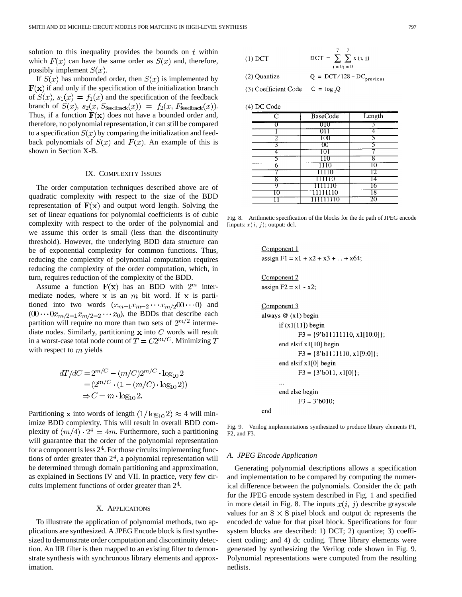solution to this inequality provides the bounds on  $t$  within which  $F(x)$  can have the same order as  $S(x)$  and, therefore, possibly implement  $S(x)$ .

If  $S(x)$  has unbounded order, then  $S(x)$  is implemented by  $F(x)$  if and only if the specification of the initialization branch of  $S(x)$ ,  $s_1(x) = f_1(x)$  and the specification of the feedback branch of  $S(x)$ ,  $s_2(x, S_{\text{feedback}}(x)) = f_2(x, F_{\text{feedback}}(x)).$ Thus, if a function  $F(x)$  does not have a bounded order and, therefore, no polynomial representation, it can still be compared to a specification  $S(x)$  by comparing the initialization and feedback polynomials of  $S(x)$  and  $F(x)$ . An example of this is shown in Section X-B.

# IX. COMPLEXITY ISSUES

The order computation techniques described above are of quadratic complexity with respect to the size of the BDD representation of  $F(x)$  and output word length. Solving the set of linear equations for polynomial coefficients is of cubic complexity with respect to the order of the polynomial and we assume this order is small (less than the discontinuity threshold). However, the underlying BDD data structure can be of exponential complexity for common functions. Thus, reducing the complexity of polynomial computation requires reducing the complexity of the order computation, which, in turn, requires reduction of the complexity of the BDD.

Assume a function  $F(x)$  has an BDD with  $2^m$  intermediate nodes, where  $x$  is an  $m$  bit word. If  $x$  is partitioned into two words  $(x_{m-1}x_{m-2}\cdots x_{m/2}00\cdots 0)$  and  $(00\cdots 0x_{m/2-1}x_{m/2-2}\cdots x_0)$ , the BDDs that describe each partition will require no more than two sets of  $2^{m/2}$  intermediate nodes. Similarly, partitioning  $x$  into  $C$  words will result in a worst-case total node count of  $T = C2^{m/C}$ . Minimizing T with respect to  $m$  yields

$$
dT/dC = 2^{m/C} - (m/C)2^{m/C} \cdot \log_{10} 2
$$
  
=  $(2^{m/C} \cdot (1 - (m/C) \cdot \log_{10} 2))$   
 $\Rightarrow C = m \cdot \log_{10} 2.$ 

Partitioning x into words of length  $(1/\log_{10} 2) \approx 4$  will minimize BDD complexity. This will result in overall BDD complexity of  $(m/4) \cdot 2^4 = 4m$ . Furthermore, such a partitioning will guarantee that the order of the polynomial representation for a component is less  $2<sup>4</sup>$ . For those circuits implementing functions of order greater than  $2<sup>4</sup>$ , a polynomial representation will be determined through domain partitioning and approximation, as explained in Sections IV and VII. In practice, very few circuits implement functions of order greater than  $2<sup>4</sup>$ .

# X. APPLICATIONS

To illustrate the application of polynomial methods, two applications are synthesized. A JPEG Encode block is first synthesized to demonstrate order computation and discontinuity detection. An IIR filter is then mapped to an existing filter to demonstrate synthesis with synchronous library elements and approximation.

(1) DCT 
$$
DCT = \sum_{i=0}^{7} \sum_{i=0}^{7} x(i, j)
$$

 $Q = DCT/128 - DC<sub>previous</sub>$ (2) Quantize

(3) Coefficient Code  $C = log_2 Q$ 

 $(4)$  DC Code

| $\overline{\mathsf{C}}$ | <b>BaseCode</b> | Length |
|-------------------------|-----------------|--------|
|                         | olo             |        |
|                         | ŒТ              |        |
|                         | TOO             |        |
|                         | 00              |        |
|                         | ю               |        |
|                         | ПО              |        |
|                         | 11TO            | ю      |
|                         | ппо             | 12     |
|                         | ппю             | 14     |
|                         | пипо            | 16     |
|                         | 11111110        | Ι8     |
|                         | 11110           |        |

Fig. 8. Arithmetic specification of the blocks for the dc path of JPEG encode [inputs:  $x(i, j)$ ; output: dc].

Component 1 assign  $F1 = x1 + x2 + x3 + ... + x64$ ; Component 2 assign  $F2 = x1 - x2$ ; Component 3 always  $\omega(x1)$  begin if  $(x1[11])$  begin  $F3 = \{9\text{'b}11111110, x1[10:0]\};$ end elsif x1[10] begin  $F3 = \{8\text{'}b1111110, x1[9:0]\};$ end elsif x1[0] begin  $F3 = {3'b011, x1[0]};$  $\ddotsc$ end else begin  $F3 = 3' b010;$ end

Fig. 9. Verilog implementations synthesized to produce library elements F1, F2, and F3.

# *A. JPEG Encode Application*

Generating polynomial descriptions allows a specification and implementation to be compared by computing the numerical difference between the polynomials. Consider the dc path for the JPEG encode system described in Fig. 1 and specified in more detail in Fig. 8. The inputs  $x(i, j)$  describe grayscale values for an  $8 \times 8$  pixel block and output dc represents the encoded dc value for that pixel block. Specifications for four system blocks are described: 1) DCT; 2) quantize; 3) coefficient coding; and 4) dc coding. Three library elements were generated by synthesizing the Verilog code shown in Fig. 9. Polynomial representations were computed from the resulting netlists.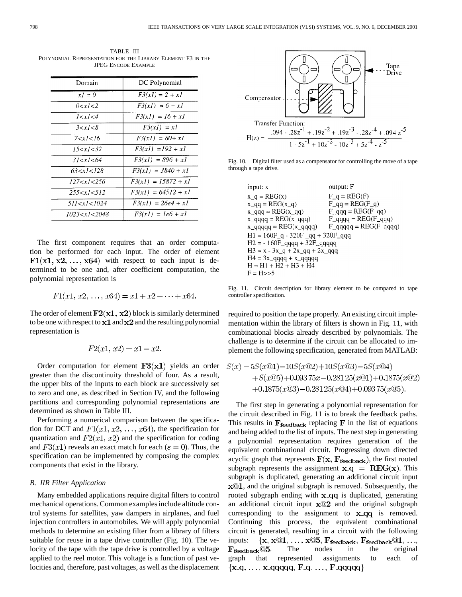| Domain                                                               | DC Polynomial         |
|----------------------------------------------------------------------|-----------------------|
| $xI = 0$                                                             | $F3(xI) = 2 + xI$     |
| 0 < x < 2                                                            | $F3(xI) = 6 + xI$     |
| 1 < x < 4                                                            | $F3(x1) = 16 + x1$    |
| 3 < x < 8                                                            | $F3(xI) = xI$         |
| 7 < x < 16                                                           | $F3(xI) = 80 + xI$    |
| 15 < x < 32                                                          | $F3(x1) = 192 + x1$   |
| 31 < x1 < 64                                                         | $F3(x1) = 896 + x1$   |
| 63 <r1<128< td=""><td><math>F3(xI) = 3840 + xI</math></td></r1<128<> | $F3(xI) = 3840 + xI$  |
| 127 < x < 256                                                        | $F3(x1) = 15872 + x1$ |
| 255 < x < 1 < 512                                                    | $F3(x1) = 64512 + x1$ |
| 511 < x1 < 1024                                                      | $F3(x1) = 26e4 + x1$  |
| 1023 < x1 < 2048                                                     | $F3(x1) = 1e6 + x1$   |

TABLE III POLYNOMIAL REPRESENTATION FOR THE LIBRARY ELEMENT F3 IN THE JPEG ENCODE EXAMPLE

The first component requires that an order computation be performed for each input. The order of element  $F1(x1, x2, ..., x64)$  with respect to each input is determined to be one and, after coefficient computation, the polynomial representation is

$$
F1(x1, x2, \ldots, x64) = x1 + x2 + \cdots + x64.
$$

The order of element  $\text{F2}(x1, x2)$  block is similarly determined to be one with respect to  $x1$  and  $x2$  and the resulting polynomial representation is

$$
F2(x1, x2) = x1 - x2.
$$

Order computation for element  $F3(x1)$  yields an order greater than the discontinuity threshold of four. As a result, the upper bits of the inputs to each block are successively set to zero and one, as described in Section IV, and the following partitions and corresponding polynomial representations are determined as shown in Table III.

Performing a numerical comparison between the specification for DCT and  $F1(x1, x2, \ldots, x64)$ , the specification for quantization and  $F2(x1, x2)$  and the specification for coding and  $F3(x1)$  reveals an exact match for each ( $\varepsilon = 0$ ). Thus, the specification can be implemented by composing the complex components that exist in the library.

## *B. IIR Filter Application*

Many embedded applications require digital filters to control mechanical operations. Common examples include altitude control systems for satellites, yaw dampers in airplanes, and fuel injection controllers in automobiles. We will apply polynomial methods to determine an existing filter from a library of filters suitable for reuse in a tape drive controller (Fig. 10). The velocity of the tape with the tape drive is controlled by a voltage applied to the reel motor. This voltage is a function of past velocities and, therefore, past voltages, as well as the displacement



Fig. 10. Digital filter used as a compensator for controlling the move of a tape through a tape drive.

| input: x                          | output: F                          |
|-----------------------------------|------------------------------------|
| $x_q = REG(x)$                    | $F_q = REG(F)$                     |
| $x_q = \text{REG}(x_q)$           | $F_qq = REG(F_q)$                  |
| $x_qqq = REG(x_q)$                | $F_{qqq} = \text{REG}(F_{qq})$     |
| $x_qqqq = \text{REG}(x_qqq)$      | $F_qqqq = REG(F_qqq)$              |
| $x_q$ qqqqq = REG $(x_q$ qqqq)    | $F_{-}$ qqqqq = REG( $F_{-}$ qqqq) |
| $H1 = 160F_q - 320F_qq + 320F_qq$ |                                    |
| $H2 = -160F_qqqq + 32F_qqqqqq$    |                                    |
| $H3 = x - 3x_q + 2x_q + 2x_q$     |                                    |
| $H4 = 3x_{qqqq} + x_{qqqqq}$      |                                    |
| $H = H1 + H2 + H3 + H4$           |                                    |
| $F = H >> 5$                      |                                    |

Fig. 11. Circuit description for library element to be compared to tape controller specification.

required to position the tape properly. An existing circuit implementation within the library of filters is shown in Fig. 11, with combinational blocks already described by polynomials. The challenge is to determine if the circuit can be allocated to implement the following specification, generated from MATLAB:

$$
S(x) = 5S(x@1) - 10S(x@2) + 10S(x@3) - 5S(x@4)
$$
  
+
$$
S(x@5) + 0.09375x - 0.28125(x@1) + 0.1875(x@2)
$$
  
+
$$
0.1875(x@3) - 0.28125(x@4) + 0.09375(x@5).
$$

The first step in generating a polynomial representation for the circuit described in Fig. 11 is to break the feedback paths. This results in  $\mathbf{F}_{\text{feedback}}$  replacing  $\mathbf{F}$  in the list of equations and being added to the list of inputs. The next step in generating a polynomial representation requires generation of the equivalent combinational circuit. Progressing down directed acyclic graph that represents  $F(x, F_{\text{feedback}})$ , the first rooted subgraph represents the assignment  $x.q = REG(x)$ . This subgraph is duplicated, generating an additional circuit input  $x@1$ , and the original subgraph is removed. Subsequently, the rooted subgraph ending with  $x_{\text{qq}}$  is duplicated, generating an additional circuit input  $x@2$  and the original subgraph corresponding to the assignment to  $x.qq$  is removed. Continuing this process, the equivalent combinational circuit is generated, resulting in a circuit with the following inputs:  $\{x, x@1, \ldots, x@5, F_{\text{feedback}}, F_{\text{feedback}}@1, \ldots,$  $\mathbf{F}_{\text{feedback}}@5$ . The nodes in the original graph that represented assignments to each of ${x-q, \ldots, x-qqqqq, F-q, \ldots, F-qqqqq}$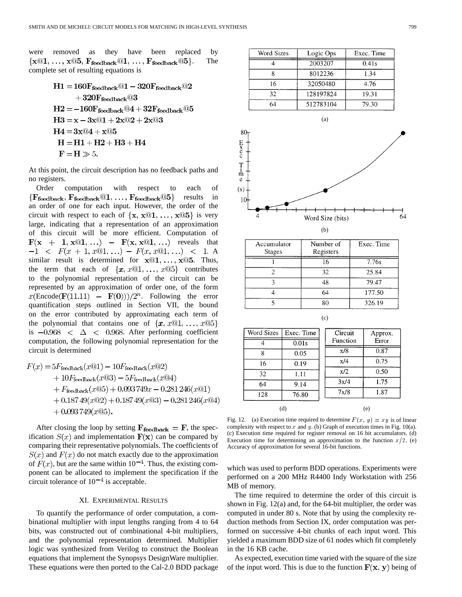were removed as they have been replaced by  $\{x@1,\ldots,x@5,\ \mathbf{F_{feedback}@1,\ldots},\ \mathbf{F_{feedback}@5}\}.$  The complete set of resulting equations is

$$
H1 = 160F_{feedback}@1 - 320F_{feedback}@2+ 320F_{feedback}@3H2 = -160F_{feedback}@4 + 32F_{feedback}@5H3 = x - 3x@1 + 2x@2 + 2x@3H4 = 3x@4 + x@5H = H1 + H2 + H3 + H4F = H \gg 5.
$$

At this point, the circuit description has no feedback paths and no registers.

Order computation with respect to each of  $\{\mathbf F_{\text{feedback}},\mathbf F_{\text{feedback}}@1,\dots,\mathbf F_{\text{feedback}}@5\}$ results in an order of one for each input. However, the order of the circuit with respect to each of  $\{x, x@1, \ldots, x@5\}$  is very large, indicating that a representation of an approximation of this circuit will be more efficient. Computation of  $\mathbf{F}(\mathbf{x} + \mathbf{1}, \mathbf{x} \odot \mathbf{1}, \ldots) - \mathbf{F}(\mathbf{x}, \mathbf{x} \odot \mathbf{1}, \ldots)$  reveals that  $-1$  <  $F(x + 1, x \odot 1, ...) - F(x, x \odot 1, ...)$  < 1. A similar result is determined for  $\mathbf{x@1}, \ldots, \mathbf{x@5}$ . Thus, the term that each of  $\{x, x@1, \ldots, x@5\}$  contributes to the polynomial representation of the circuit can be represented by an approximation of order one, of the form  $x(\text{Encode}(\mathbf{F}(11.11) - \mathbf{F}(0))) / 2^n$ . Following the error quantification steps outlined in Section VII, the bound on the error contributed by approximating each term of the polynomial that contains one of  $\{x, x@1, \ldots, x@5\}$ is  $-0.968 < \Delta < 0.968$ . After performing coefficient computation, the following polynomial representation for the circuit is determined

$$
F(x) = 5F_{\text{feedback}}(x@1) - 10F_{\text{feedback}}(x@2) + 10F_{\text{feedback}}(x@3) - 5F_{\text{feedback}}(x@4) + F_{\text{feedback}}(x@5) + 0.093749x - 0.281246(x@1) + 0.18749(x@2) + 0.18749(x@3) - 0.281246(x@4) + 0.093749(x@5).
$$

After closing the loop by setting  $\mathbf{F}_{\text{feedback}} = \mathbf{F}$ , the specification  $S(x)$  and implementation  $F(x)$  can be compared by comparing their representative polynomials. The coefficients of  $S(x)$  and  $F(x)$  do not match exactly due to the approximation of  $F(x)$ , but are the same within  $10^{-4}$ . Thus, the existing component can be allocated to implement the specification if the circuit tolerance of  $10^{-4}$  is acceptable.

## XI. EXPERIMENTAL RESULTS

To quantify the performance of order computation, a combinational multiplier with input lengths ranging from 4 to 64 bits, was constructed out of combinational 4-bit multipliers, and the polynomial representation determined. Multiplier logic was synthesized from Verilog to construct the Boolean equations that implement the Synopsys DesignWare multiplier. These equations were then ported to the Cal-2.0 BDD package

| Word Sizes | Logic Ops | Exec. Time |
|------------|-----------|------------|
|            | 2003207   | 0.41s      |
|            | 8012236   | 1.34       |
| 16         | 32050480  | 4.76       |
| 32         | 128197824 | 19.31      |
| 64         | 512783104 | 79.30      |
|            |           |            |



| Accumulator<br><b>Stages</b> | Number of<br>Registers | Exec. Time |
|------------------------------|------------------------|------------|
|                              | 16                     | 7.76s      |
|                              | 32                     | 25.84      |
|                              | 48                     | 79.47      |
|                              | 64                     | 177.50     |
|                              | ጸበ                     | 326.19     |

(c)

| Word Sizes | Exec. Time | Circuit  | Approx. |
|------------|------------|----------|---------|
|            | 0.01s      | Function | Error   |
| 8          | 0.05       | x/8      | 0.87    |
| 16         | 0.19       | x/4      | 0.75    |
| 32         | 1.11       | x/2      | 0.50    |
| 64         | 9.14       | 3x/4     | 1.75    |
| 128        | 76.80      | 7x/8     | 1.87    |
|            | (d)        |          | (e)     |

Fig. 12. (a) Execution time required to determine  $F(x, y) = xy$  is of linear complexity with respect to  $x$  and  $y$ . (b) Graph of execution times in Fig. 10(a). (c) Execution time required for register removal on 16 bit accumulators. (d) Execution time for determining an approximation to the function  $x/2$ . (e) Accuracy of approximation for several 16-bit functions.

which was used to perform BDD operations. Experiments were performed on a 200 MHz R4400 Indy Workstation with 256 MB of memory.

The time required to determine the order of this circuit is shown in Fig. 12(a) and, for the 64-bit multiplier, the order was computed in under 80 s. Note that by using the complexity reduction methods from Section IX, order computation was performed on successive 4-bit chunks of each input word. This yielded a maximum BDD size of 61 nodes which fit completely in the 16 KB cache.

As expected, execution time varied with the square of the size of the input word. This is due to the function  $\mathbf{F}(\mathbf{x}, \mathbf{y})$  being of